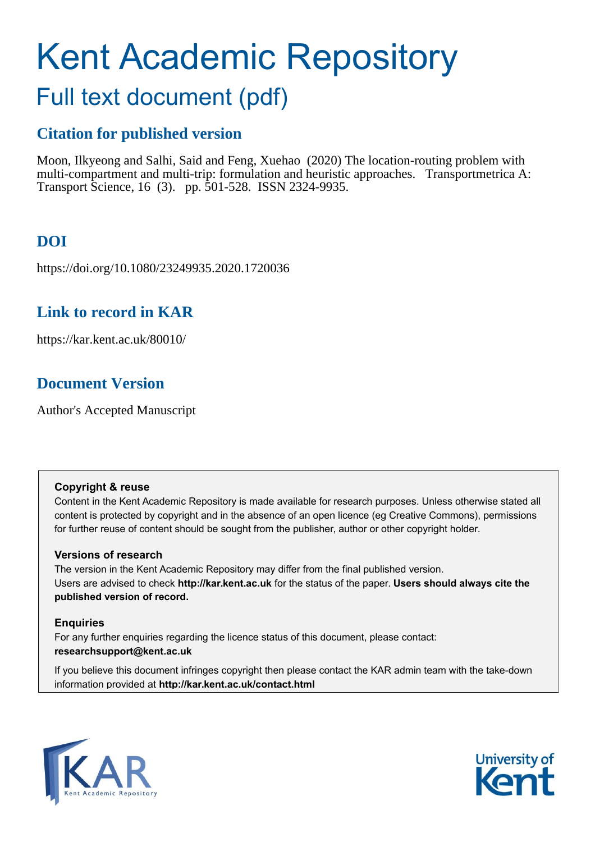# Kent Academic Repository

# Full text document (pdf)

## **Citation for published version**

Moon, Ilkyeong and Salhi, Said and Feng, Xuehao (2020) The location-routing problem with multi-compartment and multi-trip: formulation and heuristic approaches. Transportmetrica A: Transport Science, 16 (3). pp. 501-528. ISSN 2324-9935.

## **DOI**

https://doi.org/10.1080/23249935.2020.1720036

## **Link to record in KAR**

https://kar.kent.ac.uk/80010/

## **Document Version**

Author's Accepted Manuscript

#### **Copyright & reuse**

Content in the Kent Academic Repository is made available for research purposes. Unless otherwise stated all content is protected by copyright and in the absence of an open licence (eg Creative Commons), permissions for further reuse of content should be sought from the publisher, author or other copyright holder.

#### **Versions of research**

The version in the Kent Academic Repository may differ from the final published version. Users are advised to check **http://kar.kent.ac.uk** for the status of the paper. **Users should always cite the published version of record.**

#### **Enquiries**

For any further enquiries regarding the licence status of this document, please contact: **researchsupport@kent.ac.uk**

If you believe this document infringes copyright then please contact the KAR admin team with the take-down information provided at **http://kar.kent.ac.uk/contact.html**



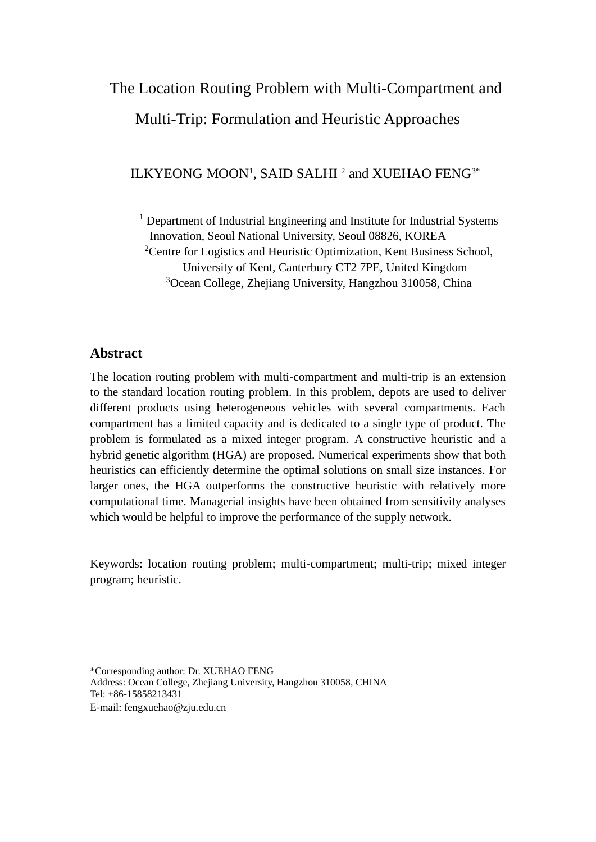## The Location Routing Problem with Multi-Compartment and Multi-Trip: Formulation and Heuristic Approaches

#### ILKYEONG MOON<sup>1</sup>, SAID SALHI<sup>2</sup> and XUEHAO FENG<sup>3\*</sup>

 $<sup>1</sup>$  Department of Industrial Engineering and Institute for Industrial Systems</sup> Innovation, Seoul National University, Seoul 08826, KOREA <sup>2</sup>Centre for Logistics and Heuristic Optimization, Kent Business School, University of Kent, Canterbury CT2 7PE, United Kingdom <sup>3</sup>Ocean College, Zhejiang University, Hangzhou 310058, China

#### **Abstract**

The location routing problem with multi-compartment and multi-trip is an extension to the standard location routing problem. In this problem, depots are used to deliver different products using heterogeneous vehicles with several compartments. Each compartment has a limited capacity and is dedicated to a single type of product. The problem is formulated as a mixed integer program. A constructive heuristic and a hybrid genetic algorithm (HGA) are proposed. Numerical experiments show that both heuristics can efficiently determine the optimal solutions on small size instances. For larger ones, the HGA outperforms the constructive heuristic with relatively more computational time. Managerial insights have been obtained from sensitivity analyses which would be helpful to improve the performance of the supply network.

Keywords: location routing problem; multi-compartment; multi-trip; mixed integer program; heuristic.

\*Corresponding author: Dr. XUEHAO FENG Address: Ocean College, Zhejiang University, Hangzhou 310058, CHINA Tel: +86-15858213431 E-mail: fengxuehao@zju.edu.cn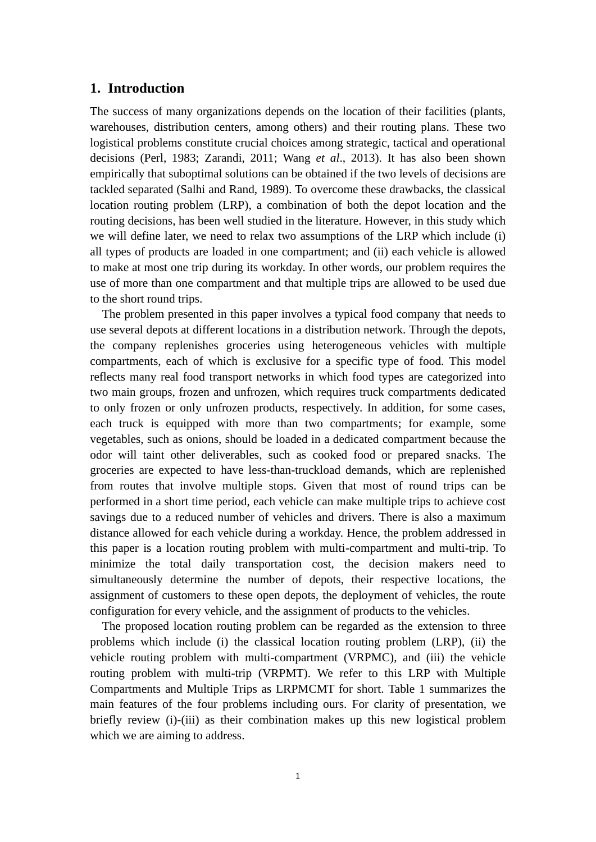#### **1. Introduction**

The success of many organizations depends on the location of their facilities (plants, warehouses, distribution centers, among others) and their routing plans. These two logistical problems constitute crucial choices among strategic, tactical and operational decisions (Perl, 1983; Zarandi, 2011; Wang *et al*., 2013). It has also been shown empirically that suboptimal solutions can be obtained if the two levels of decisions are tackled separated (Salhi and Rand, 1989). To overcome these drawbacks, the classical location routing problem (LRP), a combination of both the depot location and the routing decisions, has been well studied in the literature. However, in this study which we will define later, we need to relax two assumptions of the LRP which include (i) all types of products are loaded in one compartment; and (ii) each vehicle is allowed to make at most one trip during its workday. In other words, our problem requires the use of more than one compartment and that multiple trips are allowed to be used due to the short round trips.

The problem presented in this paper involves a typical food company that needs to use several depots at different locations in a distribution network. Through the depots, the company replenishes groceries using heterogeneous vehicles with multiple compartments, each of which is exclusive for a specific type of food. This model reflects many real food transport networks in which food types are categorized into two main groups, frozen and unfrozen, which requires truck compartments dedicated to only frozen or only unfrozen products, respectively. In addition, for some cases, each truck is equipped with more than two compartments; for example, some vegetables, such as onions, should be loaded in a dedicated compartment because the odor will taint other deliverables, such as cooked food or prepared snacks. The groceries are expected to have less-than-truckload demands, which are replenished from routes that involve multiple stops. Given that most of round trips can be performed in a short time period, each vehicle can make multiple trips to achieve cost savings due to a reduced number of vehicles and drivers. There is also a maximum distance allowed for each vehicle during a workday. Hence, the problem addressed in this paper is a location routing problem with multi-compartment and multi-trip. To minimize the total daily transportation cost, the decision makers need to simultaneously determine the number of depots, their respective locations, the assignment of customers to these open depots, the deployment of vehicles, the route configuration for every vehicle, and the assignment of products to the vehicles.

The proposed location routing problem can be regarded as the extension to three problems which include (i) the classical location routing problem (LRP), (ii) the vehicle routing problem with multi-compartment (VRPMC), and (iii) the vehicle routing problem with multi-trip (VRPMT). We refer to this LRP with Multiple Compartments and Multiple Trips as LRPMCMT for short. Table 1 summarizes the main features of the four problems including ours. For clarity of presentation, we briefly review (i)-(iii) as their combination makes up this new logistical problem which we are aiming to address.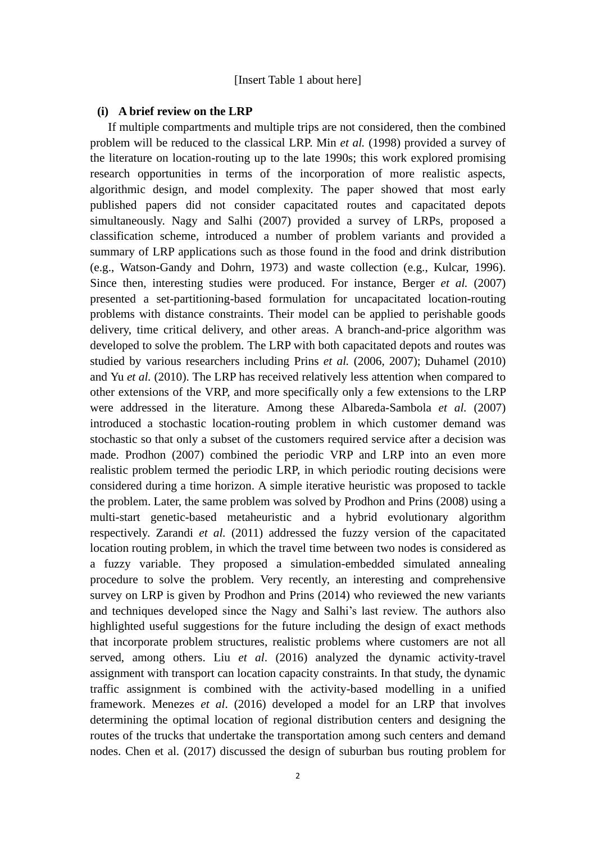#### [Insert Table 1 about here]

#### **(i) A brief review on the LRP**

If multiple compartments and multiple trips are not considered, then the combined problem will be reduced to the classical LRP. Min *et al.* (1998) provided a survey of the literature on location-routing up to the late 1990s; this work explored promising research opportunities in terms of the incorporation of more realistic aspects, algorithmic design, and model complexity. The paper showed that most early published papers did not consider capacitated routes and capacitated depots simultaneously. Nagy and Salhi (2007) provided a survey of LRPs, proposed a classification scheme, introduced a number of problem variants and provided a summary of LRP applications such as those found in the food and drink distribution (e.g., Watson-Gandy and Dohrn, 1973) and waste collection (e.g., Kulcar, 1996). Since then, interesting studies were produced. For instance, Berger *et al.* (2007) presented a set-partitioning-based formulation for uncapacitated location-routing problems with distance constraints. Their model can be applied to perishable goods delivery, time critical delivery, and other areas. A branch-and-price algorithm was developed to solve the problem. The LRP with both capacitated depots and routes was studied by various researchers including Prins *et al.* (2006, 2007); Duhamel (2010) and Yu *et al.* (2010). The LRP has received relatively less attention when compared to other extensions of the VRP, and more specifically only a few extensions to the LRP were addressed in the literature. Among these Albareda-Sambola *et al.* (2007) introduced a stochastic location-routing problem in which customer demand was stochastic so that only a subset of the customers required service after a decision was made. Prodhon (2007) combined the periodic VRP and LRP into an even more realistic problem termed the periodic LRP, in which periodic routing decisions were considered during a time horizon. A simple iterative heuristic was proposed to tackle the problem. Later, the same problem was solved by Prodhon and Prins (2008) using a multi-start genetic-based metaheuristic and a hybrid evolutionary algorithm respectively. Zarandi *et al.* (2011) addressed the fuzzy version of the capacitated location routing problem, in which the travel time between two nodes is considered as a fuzzy variable. They proposed a simulation-embedded simulated annealing procedure to solve the problem. Very recently, an interesting and comprehensive survey on LRP is given by Prodhon and Prins (2014) who reviewed the new variants and techniques developed since the Nagy and Salhi's last review. The authors also highlighted useful suggestions for the future including the design of exact methods that incorporate problem structures, realistic problems where customers are not all served, among others. Liu *et al*. (2016) analyzed the dynamic activity-travel assignment with transport can location capacity constraints. In that study, the dynamic traffic assignment is combined with the activity-based modelling in a unified framework. Menezes *et al*. (2016) developed a model for an LRP that involves determining the optimal location of regional distribution centers and designing the routes of the trucks that undertake the transportation among such centers and demand nodes. Chen et al. (2017) discussed the design of suburban bus routing problem for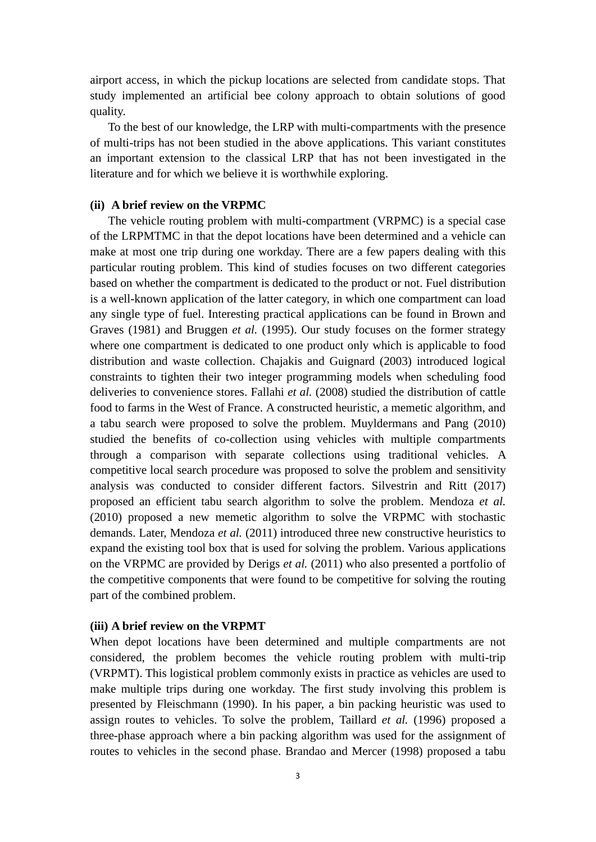airport access, in which the pickup locations are selected from candidate stops. That study implemented an artificial bee colony approach to obtain solutions of good quality.

To the best of our knowledge, the LRP with multi-compartments with the presence of multi-trips has not been studied in the above applications. This variant constitutes an important extension to the classical LRP that has not been investigated in the literature and for which we believe it is worthwhile exploring.

#### **(ii) A brief review on the VRPMC**

The vehicle routing problem with multi-compartment (VRPMC) is a special case of the LRPMTMC in that the depot locations have been determined and a vehicle can make at most one trip during one workday. There are a few papers dealing with this particular routing problem. This kind of studies focuses on two different categories based on whether the compartment is dedicated to the product or not. Fuel distribution is a well-known application of the latter category, in which one compartment can load any single type of fuel. Interesting practical applications can be found in Brown and Graves (1981) and Bruggen *et al.* (1995). Our study focuses on the former strategy where one compartment is dedicated to one product only which is applicable to food distribution and waste collection. Chajakis and Guignard (2003) introduced logical constraints to tighten their two integer programming models when scheduling food deliveries to convenience stores. Fallahi *et al.* (2008) studied the distribution of cattle food to farms in the West of France. A constructed heuristic, a memetic algorithm, and a tabu search were proposed to solve the problem. Muyldermans and Pang (2010) studied the benefits of co-collection using vehicles with multiple compartments through a comparison with separate collections using traditional vehicles. A competitive local search procedure was proposed to solve the problem and sensitivity analysis was conducted to consider different factors. Silvestrin and Ritt (2017) proposed an efficient tabu search algorithm to solve the problem. Mendoza *et al.* (2010) proposed a new memetic algorithm to solve the VRPMC with stochastic demands. Later, Mendoza *et al.* (2011) introduced three new constructive heuristics to expand the existing tool box that is used for solving the problem. Various applications on the VRPMC are provided by Derigs *et al.* (2011) who also presented a portfolio of the competitive components that were found to be competitive for solving the routing part of the combined problem.

#### **(iii) A brief review on the VRPMT**

When depot locations have been determined and multiple compartments are not considered, the problem becomes the vehicle routing problem with multi-trip (VRPMT). This logistical problem commonly exists in practice as vehicles are used to make multiple trips during one workday. The first study involving this problem is presented by Fleischmann (1990). In his paper, a bin packing heuristic was used to assign routes to vehicles. To solve the problem, Taillard *et al.* (1996) proposed a three-phase approach where a bin packing algorithm was used for the assignment of routes to vehicles in the second phase. Brandao and Mercer (1998) proposed a tabu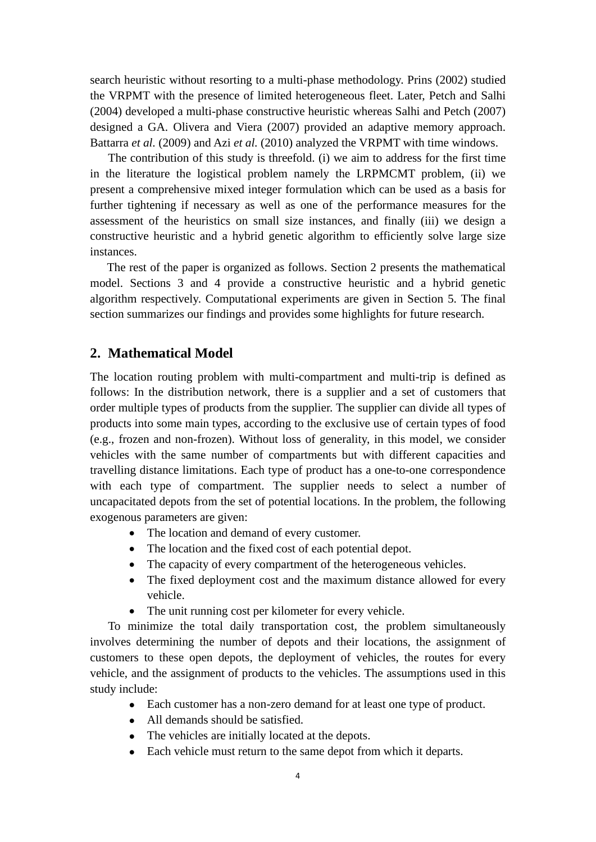search heuristic without resorting to a multi-phase methodology. Prins (2002) studied the VRPMT with the presence of limited heterogeneous fleet. Later, Petch and Salhi (2004) developed a multi-phase constructive heuristic whereas Salhi and Petch (2007) designed a GA. Olivera and Viera (2007) provided an adaptive memory approach. Battarra *et al.* (2009) and Azi *et al.* (2010) analyzed the VRPMT with time windows.

The contribution of this study is threefold. (i) we aim to address for the first time in the literature the logistical problem namely the LRPMCMT problem, (ii) we present a comprehensive mixed integer formulation which can be used as a basis for further tightening if necessary as well as one of the performance measures for the assessment of the heuristics on small size instances, and finally (iii) we design a constructive heuristic and a hybrid genetic algorithm to efficiently solve large size instances.

The rest of the paper is organized as follows. Section 2 presents the mathematical model. Sections 3 and 4 provide a constructive heuristic and a hybrid genetic algorithm respectively. Computational experiments are given in Section 5. The final section summarizes our findings and provides some highlights for future research.

#### **2. Mathematical Model**

The location routing problem with multi-compartment and multi-trip is defined as follows: In the distribution network, there is a supplier and a set of customers that order multiple types of products from the supplier. The supplier can divide all types of products into some main types, according to the exclusive use of certain types of food (e.g., frozen and non-frozen). Without loss of generality, in this model, we consider vehicles with the same number of compartments but with different capacities and travelling distance limitations. Each type of product has a one-to-one correspondence with each type of compartment. The supplier needs to select a number of uncapacitated depots from the set of potential locations. In the problem, the following exogenous parameters are given:

- The location and demand of every customer.
- The location and the fixed cost of each potential depot.
- The capacity of every compartment of the heterogeneous vehicles.
- The fixed deployment cost and the maximum distance allowed for every vehicle.
- The unit running cost per kilometer for every vehicle.

To minimize the total daily transportation cost, the problem simultaneously involves determining the number of depots and their locations, the assignment of customers to these open depots, the deployment of vehicles, the routes for every vehicle, and the assignment of products to the vehicles. The assumptions used in this study include:

- ⚫ Each customer has a non-zero demand for at least one type of product.
- ⚫ All demands should be satisfied.
- ⚫ The vehicles are initially located at the depots.
- Each vehicle must return to the same depot from which it departs.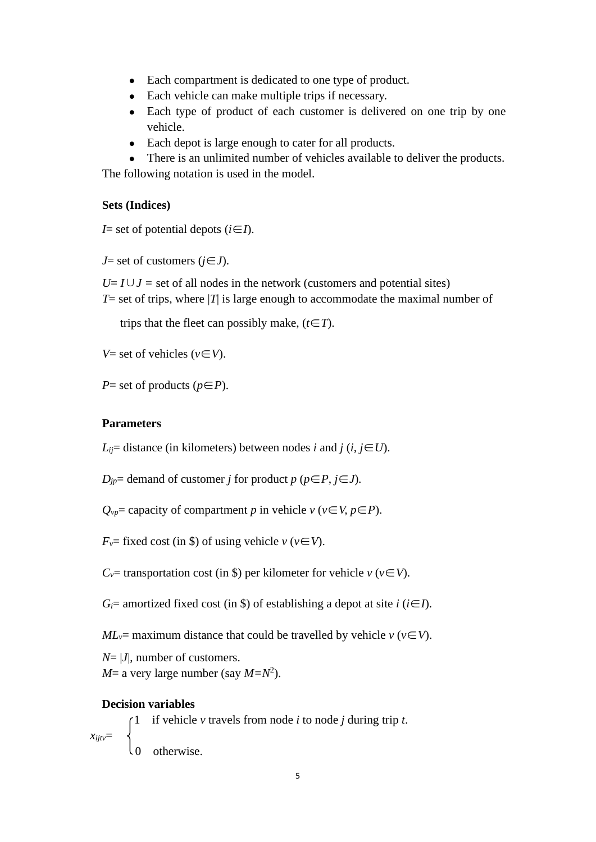- ⚫ Each compartment is dedicated to one type of product.
- ⚫ Each vehicle can make multiple trips if necessary.
- ⚫ Each type of product of each customer is delivered on one trip by one vehicle.
- ⚫ Each depot is large enough to cater for all products.
- ⚫ There is an unlimited number of vehicles available to deliver the products. The following notation is used in the model.

#### **Sets (Indices)**

*I*= set of potential depots  $(i \in I)$ .

*J*= set of customers (*j*∈*J*).

 $U=I\cup J=$  set of all nodes in the network (customers and potential sites) *T*= set of trips, where  $|T|$  is large enough to accommodate the maximal number of

trips that the fleet can possibly make,  $(t \in T)$ .

*V*= set of vehicles ( $v \in V$ ).

*P*= set of products (*p*∈*P*).

#### **Parameters**

*L*<sub>ij</sub> = distance (in kilometers) between nodes *i* and *j* (*i*, *j*∈*U*).

*D*<sub>*jp*</sub>= demand of customer *j* for product *p* ( $p \in P$ ,  $j \in J$ ).

*Q*<sub>*vp*</sub>= capacity of compartment *p* in vehicle *v* (*v*∈*V, p*∈*P*).

*F*<sup> $v$ </sup>= fixed cost (in \$) of using vehicle *v* (*v*∈*V*).

*C*<sup> $v$ </sup>= transportation cost (in \$) per kilometer for vehicle *v* (*v*∈*V*).

*G*<sup> $i$ </sup>= amortized fixed cost (in \$) of establishing a depot at site *i* (*i*∈*I*).

*ML*<sub>*v*</sub>= maximum distance that could be travelled by vehicle *v* (*v*∈*V*).

*N*= |*J*|, number of customers.

*M*= a very large number (say *M*=*N*<sup>2</sup>).

#### **Decision variables**

1 if vehicle *v* travels from node *i* to node *j* during trip *t*. *xijtv*= 0 otherwise.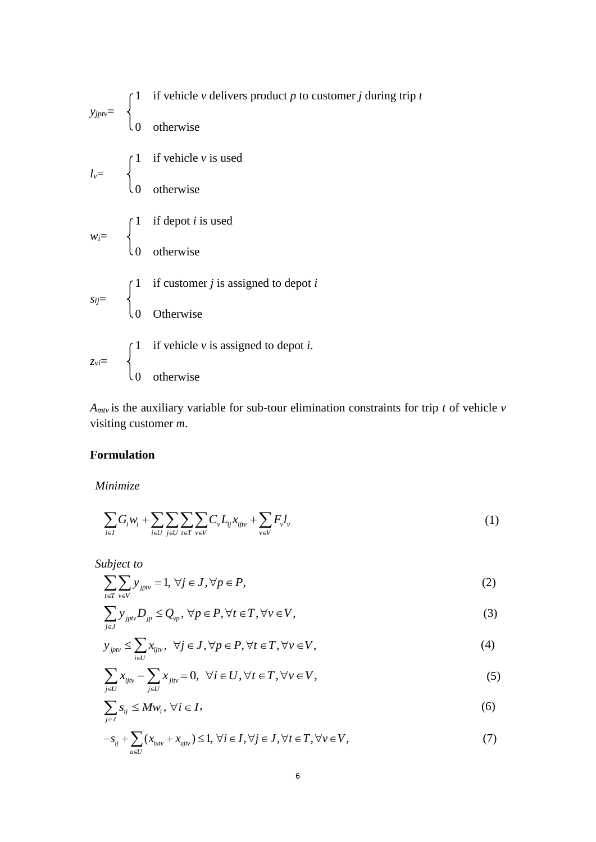|  |  | $y_{jptv} = \begin{cases} 1 & \text{if vehicle } v \text{ delivers product } p \text{ to customer } j \text{ during trip } t \\ 0 & \text{otherwise} \end{cases}$ |
|--|--|-------------------------------------------------------------------------------------------------------------------------------------------------------------------|
|  |  |                                                                                                                                                                   |
|  |  | $l_v = \begin{cases} 1 & \text{if vehicle } v \text{ is used} \\ 0 & \text{otherwise} \end{cases}$                                                                |
|  |  |                                                                                                                                                                   |
|  |  | $w_i = \begin{cases} 1 & \text{if depot } i \text{ is used} \\ 0 & \text{otherwise} \end{cases}$                                                                  |
|  |  |                                                                                                                                                                   |
|  |  | $s_{ij} = \begin{cases} 1 & \text{if customer } j \text{ is assigned to depot } i \\ 0 & \text{Otherwise} \end{cases}$                                            |
|  |  |                                                                                                                                                                   |
|  |  | $z_{vi} = \begin{cases} 1 & \text{if vehicle } v \text{ is assigned to depot } i. \\ 0 & \text{otherwise} \end{cases}$                                            |
|  |  |                                                                                                                                                                   |

 $A<sub>mtv</sub>$  is the auxiliary variable for sub-tour elimination constraints for trip *t* of vehicle *v* visiting customer *m*.

#### **Formulation**

*Minimize*

$$
\sum_{i \in I} G_i w_i + \sum_{i \in U} \sum_{j \in U} \sum_{t \in T} \sum_{v \in V} C_v L_{ij} x_{ijv} + \sum_{v \in V} F_v l_v \tag{1}
$$

*Subject to*

$$
\sum_{t \in T} \sum_{v \in V} y_{jptv} = 1, \,\forall j \in J, \forall p \in P,\tag{2}
$$

$$
\sum_{j\in J} y_{jpt} D_{jp} \le Q_{vp}, \,\forall p \in P, \forall t \in T, \forall v \in V,
$$
\n(3)

$$
y_{jpr} \le \sum_{i \in U} x_{ijr}, \ \ \forall j \in J, \forall p \in P, \forall t \in T, \forall v \in V,
$$
\n
$$
\tag{4}
$$

$$
\sum_{j\in U} x_{ij\nu} - \sum_{j\in U} x_{ji\nu} = 0, \ \forall i \in U, \forall t \in T, \forall \nu \in V,
$$
\n
$$
(5)
$$

$$
\sum_{j \in J} s_{ij} \le M w_i, \ \forall i \in I,
$$
\n<sup>(6)</sup>

$$
-s_{ij} + \sum_{u \in U} (x_{iutv} + x_{ujtv}) \le 1, \forall i \in I, \forall j \in J, \forall t \in T, \forall v \in V,
$$
\n
$$
(7)
$$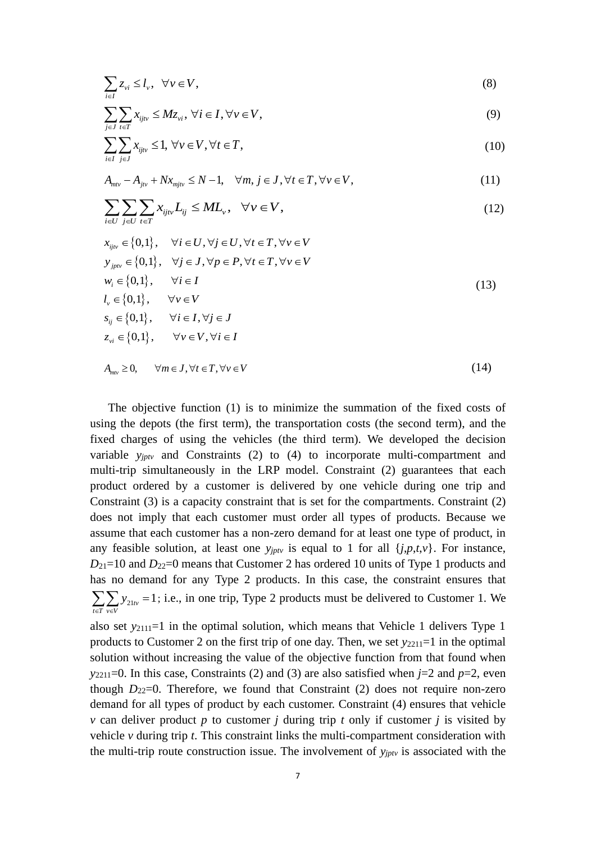$$
\sum_{i \in I} z_{vi} \le l_v, \quad \forall v \in V,
$$
\n(8)

$$
\sum_{j\in J}\sum_{t\in T}x_{ijt\nu}\leq Mz_{\nu i},\ \forall i\in I,\forall \nu\in V,
$$
\n(9)

$$
\sum_{i \in I} \sum_{j \in J} x_{ijt} \le 1, \,\forall v \in V, \forall t \in T,\tag{10}
$$

$$
A_{\scriptscriptstyle mtv} - A_{\scriptscriptstyle jtv} + Nx_{\scriptscriptstyle mjtv} \leq N - 1, \quad \forall m, j \in J, \forall t \in T, \forall v \in V,
$$
\n
$$
(11)
$$

$$
\sum_{i \in U} \sum_{j \in U} \sum_{t \in T} x_{ijt} L_{ij} \leq ML_{\nu}, \quad \forall \nu \in V,
$$
\n(12)

$$
x_{ijiv} \in \{0,1\}, \quad \forall i \in U, \forall j \in U, \forall t \in T, \forall v \in V
$$
  
\n
$$
y_{jptv} \in \{0,1\}, \quad \forall j \in J, \forall p \in P, \forall t \in T, \forall v \in V
$$
  
\n
$$
w_i \in \{0,1\}, \quad \forall i \in I
$$
  
\n
$$
l_v \in \{0,1\}, \quad \forall v \in V
$$
  
\n
$$
s_{ij} \in \{0,1\}, \quad \forall i \in I, \forall j \in J
$$
\n(13)

$$
z_{vi} \in \{0,1\}, \qquad \forall v \in V, \forall i \in I
$$

$$
A_{m\nu} \ge 0, \qquad \forall m \in J, \forall t \in T, \forall \nu \in V \tag{14}
$$

The objective function (1) is to minimize the summation of the fixed costs of using the depots (the first term), the transportation costs (the second term), and the fixed charges of using the vehicles (the third term). We developed the decision variable *yjptv* and Constraints (2) to (4) to incorporate multi-compartment and multi-trip simultaneously in the LRP model. Constraint (2) guarantees that each product ordered by a customer is delivered by one vehicle during one trip and Constraint (3) is a capacity constraint that is set for the compartments. Constraint (2) does not imply that each customer must order all types of products. Because we assume that each customer has a non-zero demand for at least one type of product, in any feasible solution, at least one *yjptv* is equal to 1 for all {*j*,*p*,*t*,*v*}. For instance,  $D_{21}=10$  and  $D_{22}=0$  means that Customer 2 has ordered 10 units of Type 1 products and has no demand for any Type 2 products. In this case, the constraint ensures that  $_{21tv} = 1$ *t T <sup>v</sup> V*  $\sum \sum y_{21iv} = 1$ ; i.e., in one trip, Type 2 products must be delivered to Customer 1. We ∈l v∈

also set *y*2111=1 in the optimal solution, which means that Vehicle 1 delivers Type 1 products to Customer 2 on the first trip of one day. Then, we set  $y_{2211}=1$  in the optimal solution without increasing the value of the objective function from that found when  $y_{2211}=0$ . In this case, Constraints (2) and (3) are also satisfied when  $j=2$  and  $p=2$ , even though  $D_{22}=0$ . Therefore, we found that Constraint (2) does not require non-zero demand for all types of product by each customer. Constraint (4) ensures that vehicle *v* can deliver product *p* to customer *j* during trip *t* only if customer *j* is visited by vehicle *v* during trip *t*. This constraint links the multi-compartment consideration with the multi-trip route construction issue. The involvement of *yjptv* is associated with the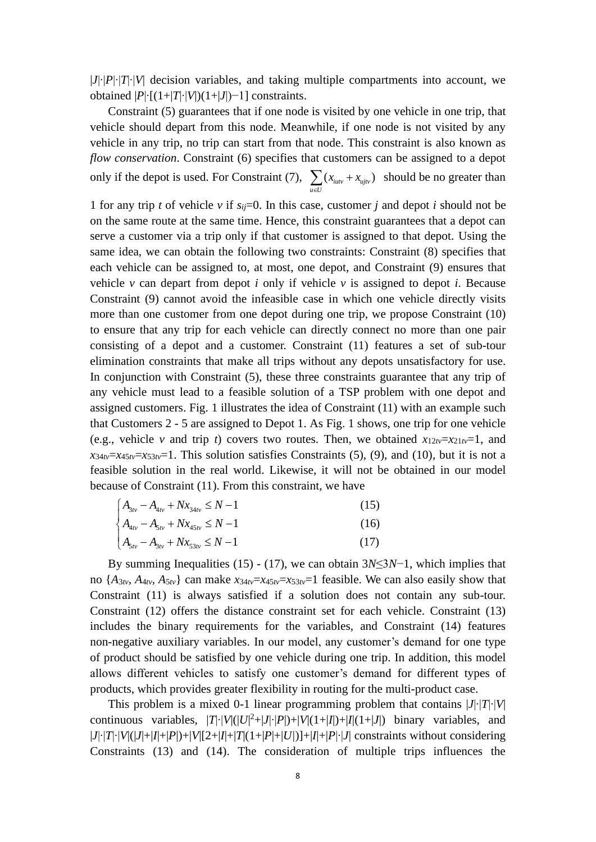|*J*|∙|*P*|∙|*T*|∙|*V*| decision variables, and taking multiple compartments into account, we obtained  $|P|\cdot[(1+|T|\cdot|V])(1+|J|)-1]$  constraints.

Constraint (5) guarantees that if one node is visited by one vehicle in one trip, that vehicle should depart from this node. Meanwhile, if one node is not visited by any vehicle in any trip, no trip can start from that node. This constraint is also known as *flow conservation*. Constraint (6) specifies that customers can be assigned to a depot only if the depot is used. For Constraint (7),  $\sum_{u \in U} (x_{i_{\text{turb}}} + x_{i_{\text{yit}}})$  $x + x$  $\sum_{u \in U} (x_{\text{iniv}} + x_{\text{iniv}})$  should be no greater than

1 for any trip *t* of vehicle *v* if  $s_{ij}=0$ . In this case, customer *j* and depot *i* should not be on the same route at the same time. Hence, this constraint guarantees that a depot can serve a customer via a trip only if that customer is assigned to that depot. Using the same idea, we can obtain the following two constraints: Constraint (8) specifies that each vehicle can be assigned to, at most, one depot, and Constraint (9) ensures that vehicle  $\nu$  can depart from depot *i* only if vehicle  $\nu$  is assigned to depot *i*. Because Constraint (9) cannot avoid the infeasible case in which one vehicle directly visits more than one customer from one depot during one trip, we propose Constraint (10) to ensure that any trip for each vehicle can directly connect no more than one pair consisting of a depot and a customer. Constraint (11) features a set of sub-tour elimination constraints that make all trips without any depots unsatisfactory for use. In conjunction with Constraint (5), these three constraints guarantee that any trip of any vehicle must lead to a feasible solution of a TSP problem with one depot and assigned customers. Fig. 1 illustrates the idea of Constraint (11) with an example such that Customers 2 - 5 are assigned to Depot 1. As Fig. 1 shows, one trip for one vehicle (e.g., vehicle *v* and trip *t*) covers two routes. Then, we obtained  $x_{12}r = x_{21}r = 1$ , and  $x_{34tv} = x_{45tv} = x_{53tv} = 1$ . This solution satisfies Constraints (5), (9), and (10), but it is not a feasible solution in the real world. Likewise, it will not be obtained in our model because of Constraint (11). From this constraint, we have

| $A_{3tv} - A_{4tv} + Nx_{34tv} \leq N-1$                | (15) |
|---------------------------------------------------------|------|
| $\left\{A_{4tv} - A_{5tv} + Nx_{45tv} \leq N-1\right\}$ | (16) |
| $A_{5t} - A_{3t} + Nx_{53t} \leq N-1$                   | (17) |

By summing Inequalities (15) - (17), we can obtain 3*N*≤3*N*−1, which implies that no  $\{A_{3t}$ ,  $A_{4t}$ ,  $A_{5t}$  can make  $x_{34t}$  =  $x_{45t}$  =  $x_{53t}$  = 1 feasible. We can also easily show that Constraint (11) is always satisfied if a solution does not contain any sub-tour. Constraint (12) offers the distance constraint set for each vehicle. Constraint (13) includes the binary requirements for the variables, and Constraint (14) features non-negative auxiliary variables. In our model, any customer's demand for one type of product should be satisfied by one vehicle during one trip. In addition, this model allows different vehicles to satisfy one customer's demand for different types of products, which provides greater flexibility in routing for the multi-product case.

This problem is a mixed 0-1 linear programming problem that contains |*J*|∙|*T*|∙|*V*| continuous variables,  $|T| \cdot |V| (|U|^2 + |J| \cdot |P|) + |V| (1 + |I|) + |I| (1 + |J|)$  binary variables, and |*J*|∙|*T*|∙|*V*|(|*J*|+|*I*|+|*P*|)+|*V*|[2+|*I*|+|*T*|(1+|*P*|+|*U|*)]+|*I*|+|*P*|∙|*J*| constraints without considering Constraints (13) and (14). The consideration of multiple trips influences the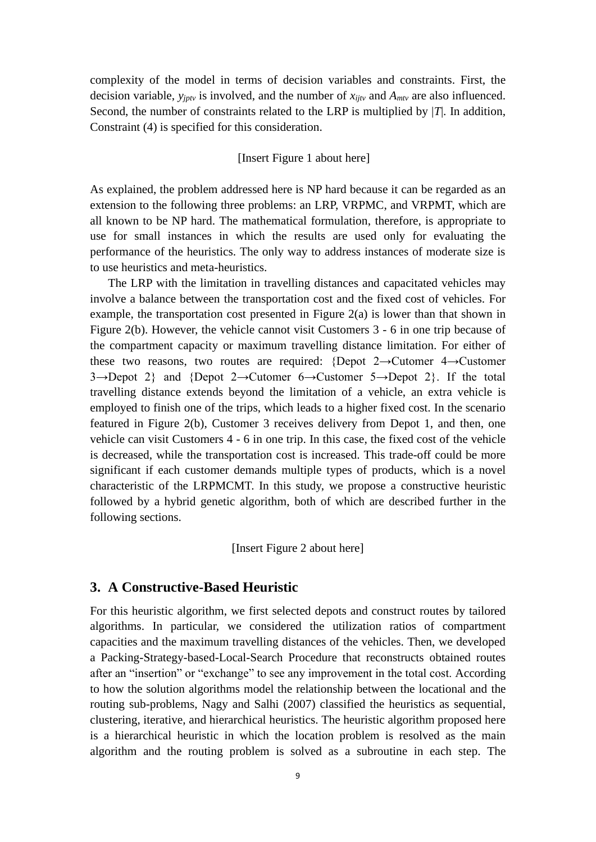complexity of the model in terms of decision variables and constraints. First, the decision variable, *yjptv* is involved, and the number of *xijtv* and *Amtv* are also influenced. Second, the number of constraints related to the LRP is multiplied by |*T*|. In addition, Constraint (4) is specified for this consideration.

#### [Insert Figure 1 about here]

As explained, the problem addressed here is NP hard because it can be regarded as an extension to the following three problems: an LRP, VRPMC, and VRPMT, which are all known to be NP hard. The mathematical formulation, therefore, is appropriate to use for small instances in which the results are used only for evaluating the performance of the heuristics. The only way to address instances of moderate size is to use heuristics and meta-heuristics.

The LRP with the limitation in travelling distances and capacitated vehicles may involve a balance between the transportation cost and the fixed cost of vehicles. For example, the transportation cost presented in Figure 2(a) is lower than that shown in Figure 2(b). However, the vehicle cannot visit Customers 3 - 6 in one trip because of the compartment capacity or maximum travelling distance limitation. For either of these two reasons, two routes are required: {Depot 2→Cutomer 4→Customer 3→Depot 2} and {Depot 2→Cutomer 6→Customer 5→Depot 2}. If the total travelling distance extends beyond the limitation of a vehicle, an extra vehicle is employed to finish one of the trips, which leads to a higher fixed cost. In the scenario featured in Figure 2(b), Customer 3 receives delivery from Depot 1, and then, one vehicle can visit Customers 4 - 6 in one trip. In this case, the fixed cost of the vehicle is decreased, while the transportation cost is increased. This trade-off could be more significant if each customer demands multiple types of products, which is a novel characteristic of the LRPMCMT. In this study, we propose a constructive heuristic followed by a hybrid genetic algorithm, both of which are described further in the following sections.

[Insert Figure 2 about here]

#### **3. A Constructive-Based Heuristic**

For this heuristic algorithm, we first selected depots and construct routes by tailored algorithms. In particular, we considered the utilization ratios of compartment capacities and the maximum travelling distances of the vehicles. Then, we developed a Packing-Strategy-based-Local-Search Procedure that reconstructs obtained routes after an "insertion" or "exchange" to see any improvement in the total cost. According to how the solution algorithms model the relationship between the locational and the routing sub-problems, Nagy and Salhi (2007) classified the heuristics as sequential, clustering, iterative, and hierarchical heuristics. The heuristic algorithm proposed here is a hierarchical heuristic in which the location problem is resolved as the main algorithm and the routing problem is solved as a subroutine in each step. The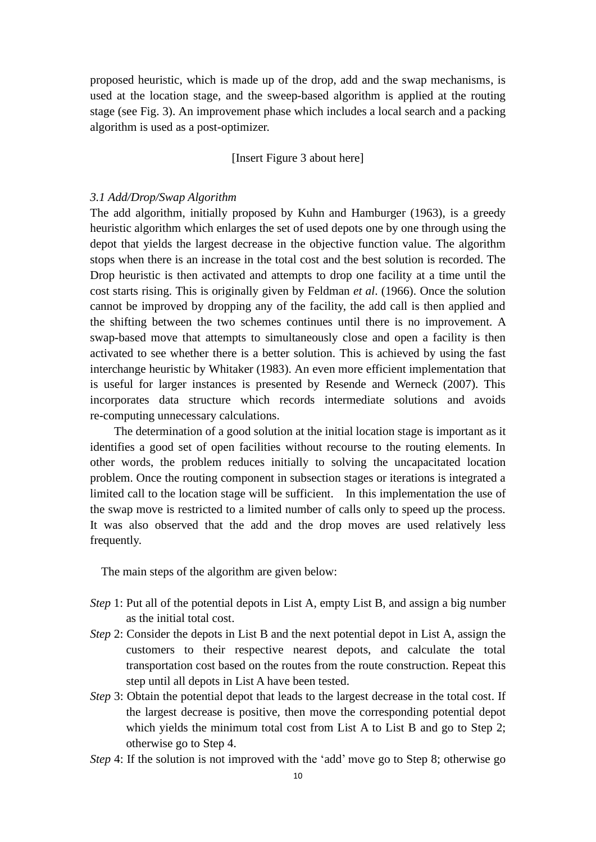proposed heuristic, which is made up of the drop, add and the swap mechanisms, is used at the location stage, and the sweep-based algorithm is applied at the routing stage (see Fig. 3). An improvement phase which includes a local search and a packing algorithm is used as a post-optimizer.

#### [Insert Figure 3 about here]

#### *3.1 Add/Drop/Swap Algorithm*

The add algorithm, initially proposed by Kuhn and Hamburger (1963), is a greedy heuristic algorithm which enlarges the set of used depots one by one through using the depot that yields the largest decrease in the objective function value. The algorithm stops when there is an increase in the total cost and the best solution is recorded. The Drop heuristic is then activated and attempts to drop one facility at a time until the cost starts rising. This is originally given by Feldman *et al*. (1966). Once the solution cannot be improved by dropping any of the facility, the add call is then applied and the shifting between the two schemes continues until there is no improvement. A swap-based move that attempts to simultaneously close and open a facility is then activated to see whether there is a better solution. This is achieved by using the fast interchange heuristic by Whitaker (1983). An even more efficient implementation that is useful for larger instances is presented by Resende and Werneck (2007). This incorporates data structure which records intermediate solutions and avoids re-computing unnecessary calculations.

The determination of a good solution at the initial location stage is important as it identifies a good set of open facilities without recourse to the routing elements. In other words, the problem reduces initially to solving the uncapacitated location problem. Once the routing component in subsection stages or iterations is integrated a limited call to the location stage will be sufficient. In this implementation the use of the swap move is restricted to a limited number of calls only to speed up the process. It was also observed that the add and the drop moves are used relatively less frequently.

The main steps of the algorithm are given below:

- *Step* 1: Put all of the potential depots in List A, empty List B, and assign a big number as the initial total cost.
- *Step 2*: Consider the depots in List B and the next potential depot in List A, assign the customers to their respective nearest depots, and calculate the total transportation cost based on the routes from the route construction. Repeat this step until all depots in List A have been tested.
- *Step* 3: Obtain the potential depot that leads to the largest decrease in the total cost. If the largest decrease is positive, then move the corresponding potential depot which yields the minimum total cost from List A to List B and go to Step 2; otherwise go to Step 4.
- *Step* 4: If the solution is not improved with the 'add' move go to Step 8; otherwise go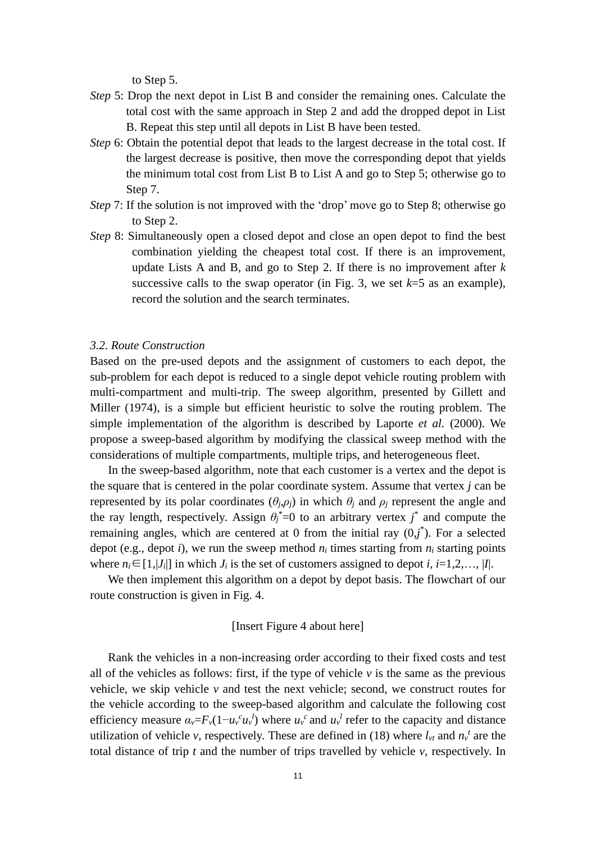to Step 5.

- *Step* 5: Drop the next depot in List B and consider the remaining ones. Calculate the total cost with the same approach in Step 2 and add the dropped depot in List B. Repeat this step until all depots in List B have been tested.
- *Step* 6: Obtain the potential depot that leads to the largest decrease in the total cost. If the largest decrease is positive, then move the corresponding depot that yields the minimum total cost from List B to List A and go to Step 5; otherwise go to Step 7.
- *Step* 7: If the solution is not improved with the 'drop' move go to Step 8; otherwise go to Step 2.
- *Step* 8: Simultaneously open a closed depot and close an open depot to find the best combination yielding the cheapest total cost. If there is an improvement, update Lists A and B, and go to Step 2. If there is no improvement after *k* successive calls to the swap operator (in Fig. 3, we set  $k=5$  as an example), record the solution and the search terminates.

#### *3.2. Route Construction*

Based on the pre-used depots and the assignment of customers to each depot, the sub-problem for each depot is reduced to a single depot vehicle routing problem with multi-compartment and multi-trip. The sweep algorithm, presented by Gillett and Miller (1974), is a simple but efficient heuristic to solve the routing problem. The simple implementation of the algorithm is described by Laporte *et al.* (2000). We propose a sweep-based algorithm by modifying the classical sweep method with the considerations of multiple compartments, multiple trips, and heterogeneous fleet.

In the sweep-based algorithm, note that each customer is a vertex and the depot is the square that is centered in the polar coordinate system. Assume that vertex *j* can be represented by its polar coordinates  $(\theta_i, \rho_i)$  in which  $\theta_i$  and  $\rho_i$  represent the angle and the ray length, respectively. Assign  $\theta_j^* = 0$  to an arbitrary vertex  $j^*$  and compute the remaining angles, which are centered at 0 from the initial ray  $(0,j^*)$ . For a selected depot (e.g., depot *i*), we run the sweep method  $n_i$  times starting from  $n_i$  starting points where  $n_i \in [1, |J_i|]$  in which  $J_i$  is the set of customers assigned to depot *i*, *i*=1,2,..., |*I*|.

We then implement this algorithm on a depot by depot basis. The flowchart of our route construction is given in Fig. 4.

#### [Insert Figure 4 about here]

Rank the vehicles in a non-increasing order according to their fixed costs and test all of the vehicles as follows: first, if the type of vehicle *v* is the same as the previous vehicle, we skip vehicle  $\nu$  and test the next vehicle; second, we construct routes for the vehicle according to the sweep-based algorithm and calculate the following cost efficiency measure  $a_v = F_v(1 - u_v^c u_v^t)$  where  $u_v^c$  and  $u_v^l$  refer to the capacity and distance utilization of vehicle *v*, respectively. These are defined in (18) where  $l_{vt}$  and  $n_v^t$  are the total distance of trip *t* and the number of trips travelled by vehicle *v*, respectively. In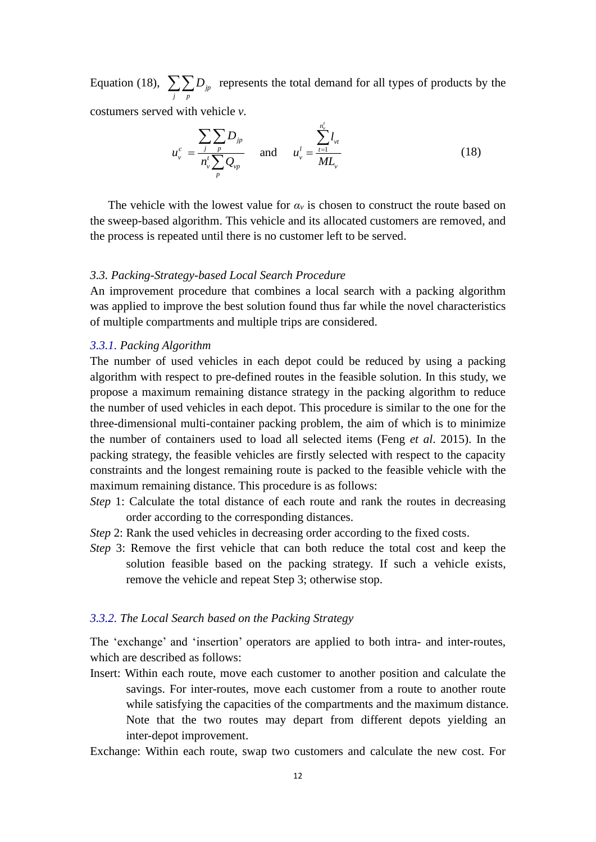Equation (18),  $\sum_{p} D_{jp}$ *j p*  $\sum\sum D_{ip}$  represents the total demand for all types of products by the costumers served with vehicle *v*.

$$
u_{\nu}^{c} = \frac{\sum_{j} \sum_{p} D_{jp}}{n_{\nu}^{t} \sum_{p} Q_{\nu p}} \quad \text{and} \quad u_{\nu}^{l} = \frac{\sum_{t=1}^{n_{\nu}} l_{\nu t}}{ML_{\nu}}
$$
(18)

The vehicle with the lowest value for  $a<sub>v</sub>$  is chosen to construct the route based on the sweep-based algorithm. This vehicle and its allocated customers are removed, and the process is repeated until there is no customer left to be served.

#### *3.3. Packing-Strategy-based Local Search Procedure*

An improvement procedure that combines a local search with a packing algorithm was applied to improve the best solution found thus far while the novel characteristics of multiple compartments and multiple trips are considered.

#### *3.3.1. Packing Algorithm*

The number of used vehicles in each depot could be reduced by using a packing algorithm with respect to pre-defined routes in the feasible solution. In this study, we propose a maximum remaining distance strategy in the packing algorithm to reduce the number of used vehicles in each depot. This procedure is similar to the one for the three-dimensional multi-container packing problem, the aim of which is to minimize the number of containers used to load all selected items (Feng *et al*. 2015). In the packing strategy, the feasible vehicles are firstly selected with respect to the capacity constraints and the longest remaining route is packed to the feasible vehicle with the maximum remaining distance. This procedure is as follows:

- *Step* 1: Calculate the total distance of each route and rank the routes in decreasing order according to the corresponding distances.
- *Step* 2: Rank the used vehicles in decreasing order according to the fixed costs.
- *Step* 3: Remove the first vehicle that can both reduce the total cost and keep the solution feasible based on the packing strategy. If such a vehicle exists, remove the vehicle and repeat Step 3; otherwise stop.

#### *3.3.2. The Local Search based on the Packing Strategy*

The 'exchange' and 'insertion' operators are applied to both intra- and inter-routes, which are described as follows:

Insert: Within each route, move each customer to another position and calculate the savings. For inter-routes, move each customer from a route to another route while satisfying the capacities of the compartments and the maximum distance. Note that the two routes may depart from different depots yielding an inter-depot improvement.

Exchange: Within each route, swap two customers and calculate the new cost. For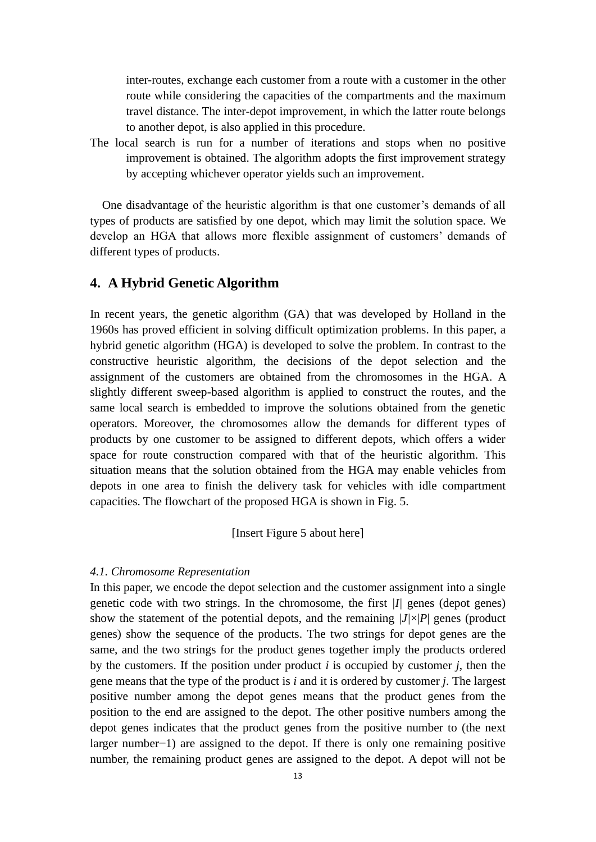inter-routes, exchange each customer from a route with a customer in the other route while considering the capacities of the compartments and the maximum travel distance. The inter-depot improvement, in which the latter route belongs to another depot, is also applied in this procedure.

The local search is run for a number of iterations and stops when no positive improvement is obtained. The algorithm adopts the first improvement strategy by accepting whichever operator yields such an improvement.

One disadvantage of the heuristic algorithm is that one customer's demands of all types of products are satisfied by one depot, which may limit the solution space. We develop an HGA that allows more flexible assignment of customers' demands of different types of products.

#### **4. A Hybrid Genetic Algorithm**

In recent years, the genetic algorithm (GA) that was developed by Holland in the 1960s has proved efficient in solving difficult optimization problems. In this paper, a hybrid genetic algorithm (HGA) is developed to solve the problem. In contrast to the constructive heuristic algorithm, the decisions of the depot selection and the assignment of the customers are obtained from the chromosomes in the HGA. A slightly different sweep-based algorithm is applied to construct the routes, and the same local search is embedded to improve the solutions obtained from the genetic operators. Moreover, the chromosomes allow the demands for different types of products by one customer to be assigned to different depots, which offers a wider space for route construction compared with that of the heuristic algorithm. This situation means that the solution obtained from the HGA may enable vehicles from depots in one area to finish the delivery task for vehicles with idle compartment capacities. The flowchart of the proposed HGA is shown in Fig. 5.

[Insert Figure 5 about here]

#### *4.1. Chromosome Representation*

In this paper, we encode the depot selection and the customer assignment into a single genetic code with two strings. In the chromosome, the first *|I|* genes (depot genes) show the statement of the potential depots, and the remaining  $|J| \times |P|$  genes (product genes) show the sequence of the products. The two strings for depot genes are the same, and the two strings for the product genes together imply the products ordered by the customers. If the position under product *i* is occupied by customer *j*, then the gene means that the type of the product is *i* and it is ordered by customer *j*. The largest positive number among the depot genes means that the product genes from the position to the end are assigned to the depot. The other positive numbers among the depot genes indicates that the product genes from the positive number to (the next larger number−1) are assigned to the depot. If there is only one remaining positive number, the remaining product genes are assigned to the depot. A depot will not be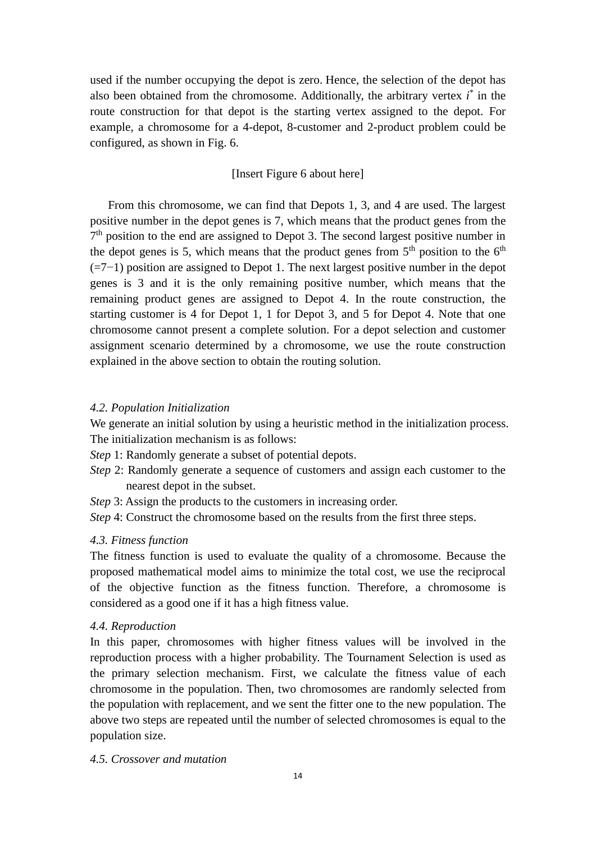used if the number occupying the depot is zero. Hence, the selection of the depot has also been obtained from the chromosome. Additionally, the arbitrary vertex *i*<sup>\*</sup> in the route construction for that depot is the starting vertex assigned to the depot. For example, a chromosome for a 4-depot, 8-customer and 2-product problem could be configured, as shown in Fig. 6.

#### [Insert Figure 6 about here]

From this chromosome, we can find that Depots 1, 3, and 4 are used. The largest positive number in the depot genes is 7, which means that the product genes from the 7<sup>th</sup> position to the end are assigned to Depot 3. The second largest positive number in the depot genes is 5, which means that the product genes from  $5<sup>th</sup>$  position to the  $6<sup>th</sup>$ (=7−1) position are assigned to Depot 1. The next largest positive number in the depot genes is 3 and it is the only remaining positive number, which means that the remaining product genes are assigned to Depot 4. In the route construction, the starting customer is 4 for Depot 1, 1 for Depot 3, and 5 for Depot 4. Note that one chromosome cannot present a complete solution. For a depot selection and customer assignment scenario determined by a chromosome, we use the route construction explained in the above section to obtain the routing solution.

#### *4.2. Population Initialization*

We generate an initial solution by using a heuristic method in the initialization process. The initialization mechanism is as follows:

*Step* 1: Randomly generate a subset of potential depots.

- *Step* 2: Randomly generate a sequence of customers and assign each customer to the nearest depot in the subset.
- *Step* 3: Assign the products to the customers in increasing order.

*Step* 4: Construct the chromosome based on the results from the first three steps.

#### *4.3. Fitness function*

The fitness function is used to evaluate the quality of a chromosome. Because the proposed mathematical model aims to minimize the total cost, we use the reciprocal of the objective function as the fitness function. Therefore, a chromosome is considered as a good one if it has a high fitness value.

#### *4.4. Reproduction*

In this paper, chromosomes with higher fitness values will be involved in the reproduction process with a higher probability. The Tournament Selection is used as the primary selection mechanism. First, we calculate the fitness value of each chromosome in the population. Then, two chromosomes are randomly selected from the population with replacement, and we sent the fitter one to the new population. The above two steps are repeated until the number of selected chromosomes is equal to the population size.

*4.5. Crossover and mutation*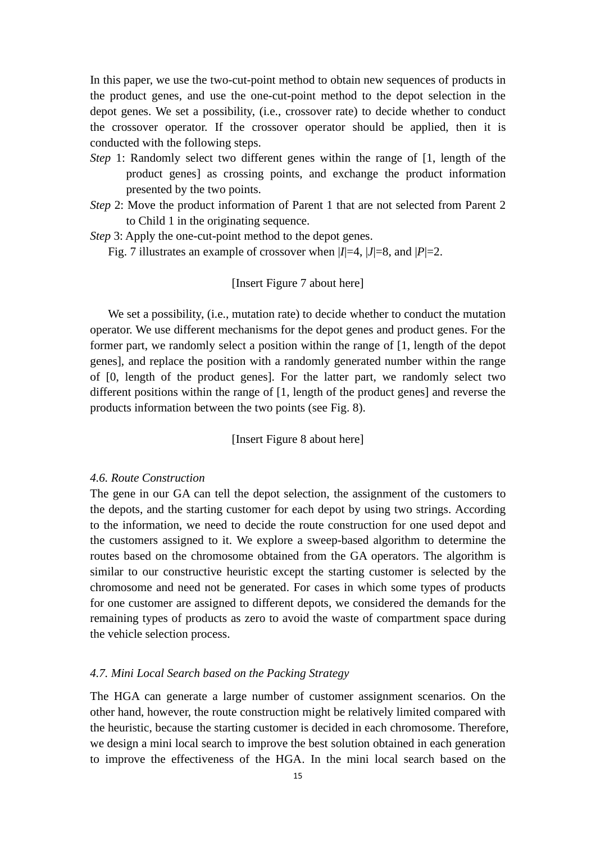In this paper, we use the two-cut-point method to obtain new sequences of products in the product genes, and use the one-cut-point method to the depot selection in the depot genes. We set a possibility, (i.e., crossover rate) to decide whether to conduct the crossover operator. If the crossover operator should be applied, then it is conducted with the following steps.

- *Step* 1: Randomly select two different genes within the range of [1, length of the product genes] as crossing points, and exchange the product information presented by the two points.
- *Step* 2: Move the product information of Parent 1 that are not selected from Parent 2 to Child 1 in the originating sequence.
- *Step* 3: Apply the one-cut-point method to the depot genes.

Fig. 7 illustrates an example of crossover when  $|I|=4$ ,  $|J|=8$ , and  $|P|=2$ .

#### [Insert Figure 7 about here]

We set a possibility, (i.e., mutation rate) to decide whether to conduct the mutation operator. We use different mechanisms for the depot genes and product genes. For the former part, we randomly select a position within the range of [1, length of the depot genes], and replace the position with a randomly generated number within the range of [0, length of the product genes]. For the latter part, we randomly select two different positions within the range of [1, length of the product genes] and reverse the products information between the two points (see Fig. 8).

#### [Insert Figure 8 about here]

#### *4.6. Route Construction*

The gene in our GA can tell the depot selection, the assignment of the customers to the depots, and the starting customer for each depot by using two strings. According to the information, we need to decide the route construction for one used depot and the customers assigned to it. We explore a sweep-based algorithm to determine the routes based on the chromosome obtained from the GA operators. The algorithm is similar to our constructive heuristic except the starting customer is selected by the chromosome and need not be generated. For cases in which some types of products for one customer are assigned to different depots, we considered the demands for the remaining types of products as zero to avoid the waste of compartment space during the vehicle selection process.

#### *4.7. Mini Local Search based on the Packing Strategy*

The HGA can generate a large number of customer assignment scenarios. On the other hand, however, the route construction might be relatively limited compared with the heuristic, because the starting customer is decided in each chromosome. Therefore, we design a mini local search to improve the best solution obtained in each generation to improve the effectiveness of the HGA. In the mini local search based on the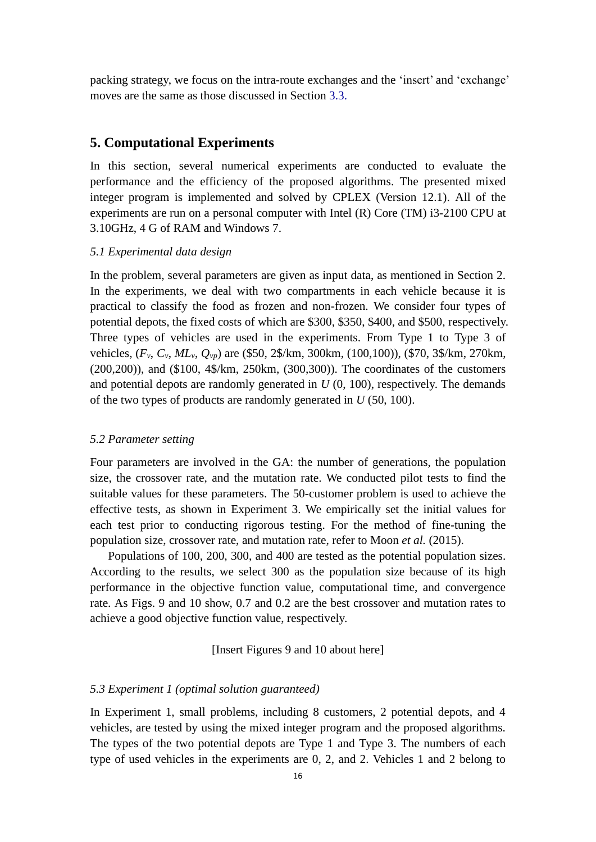packing strategy, we focus on the intra-route exchanges and the 'insert' and 'exchange' moves are the same as those discussed in Section 3.3.

#### **5. Computational Experiments**

In this section, several numerical experiments are conducted to evaluate the performance and the efficiency of the proposed algorithms. The presented mixed integer program is implemented and solved by CPLEX (Version 12.1). All of the experiments are run on a personal computer with Intel (R) Core (TM) i3-2100 CPU at 3.10GHz, 4 G of RAM and Windows 7.

#### *5.1 Experimental data design*

In the problem, several parameters are given as input data, as mentioned in Section 2. In the experiments, we deal with two compartments in each vehicle because it is practical to classify the food as frozen and non-frozen. We consider four types of potential depots, the fixed costs of which are \$300, \$350, \$400, and \$500, respectively. Three types of vehicles are used in the experiments. From Type 1 to Type 3 of vehicles, (*Fv*, *Cv*, *MLv*, *Qvp*) are (\$50, 2\$/km, 300km, (100,100)), (\$70, 3\$/km, 270km, (200,200)), and (\$100, 4\$/km, 250km, (300,300)). The coordinates of the customers and potential depots are randomly generated in *U* (0, 100), respectively. The demands of the two types of products are randomly generated in *U* (50, 100).

#### *5.2 Parameter setting*

Four parameters are involved in the GA: the number of generations, the population size, the crossover rate, and the mutation rate. We conducted pilot tests to find the suitable values for these parameters. The 50-customer problem is used to achieve the effective tests, as shown in Experiment 3. We empirically set the initial values for each test prior to conducting rigorous testing. For the method of fine-tuning the population size, crossover rate, and mutation rate, refer to Moon *et al.* (2015).

Populations of 100, 200, 300, and 400 are tested as the potential population sizes. According to the results, we select 300 as the population size because of its high performance in the objective function value, computational time, and convergence rate. As Figs. 9 and 10 show, 0.7 and 0.2 are the best crossover and mutation rates to achieve a good objective function value, respectively.

#### [Insert Figures 9 and 10 about here]

#### *5.3 Experiment 1 (optimal solution guaranteed)*

In Experiment 1, small problems, including 8 customers, 2 potential depots, and 4 vehicles, are tested by using the mixed integer program and the proposed algorithms. The types of the two potential depots are Type 1 and Type 3. The numbers of each type of used vehicles in the experiments are 0, 2, and 2. Vehicles 1 and 2 belong to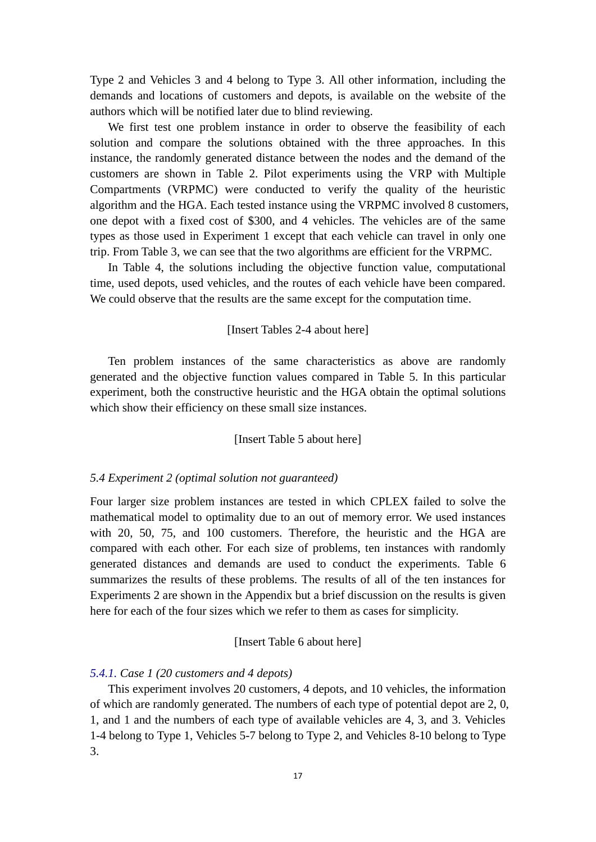Type 2 and Vehicles 3 and 4 belong to Type 3. All other information, including the demands and locations of customers and depots, is available on the website of the authors which will be notified later due to blind reviewing.

We first test one problem instance in order to observe the feasibility of each solution and compare the solutions obtained with the three approaches. In this instance, the randomly generated distance between the nodes and the demand of the customers are shown in Table 2. Pilot experiments using the VRP with Multiple Compartments (VRPMC) were conducted to verify the quality of the heuristic algorithm and the HGA. Each tested instance using the VRPMC involved 8 customers, one depot with a fixed cost of \$300, and 4 vehicles. The vehicles are of the same types as those used in Experiment 1 except that each vehicle can travel in only one trip. From Table 3, we can see that the two algorithms are efficient for the VRPMC.

In Table 4, the solutions including the objective function value, computational time, used depots, used vehicles, and the routes of each vehicle have been compared. We could observe that the results are the same except for the computation time.

#### [Insert Tables 2-4 about here]

Ten problem instances of the same characteristics as above are randomly generated and the objective function values compared in Table 5. In this particular experiment, both the constructive heuristic and the HGA obtain the optimal solutions which show their efficiency on these small size instances.

#### [Insert Table 5 about here]

#### *5.4 Experiment 2 (optimal solution not guaranteed)*

Four larger size problem instances are tested in which CPLEX failed to solve the mathematical model to optimality due to an out of memory error. We used instances with 20, 50, 75, and 100 customers. Therefore, the heuristic and the HGA are compared with each other. For each size of problems, ten instances with randomly generated distances and demands are used to conduct the experiments. Table 6 summarizes the results of these problems. The results of all of the ten instances for Experiments 2 are shown in the Appendix but a brief discussion on the results is given here for each of the four sizes which we refer to them as cases for simplicity.

#### [Insert Table 6 about here]

#### *5.4.1. Case 1 (20 customers and 4 depots)*

This experiment involves 20 customers, 4 depots, and 10 vehicles, the information of which are randomly generated. The numbers of each type of potential depot are 2, 0, 1, and 1 and the numbers of each type of available vehicles are 4, 3, and 3. Vehicles 1-4 belong to Type 1, Vehicles 5-7 belong to Type 2, and Vehicles 8-10 belong to Type 3.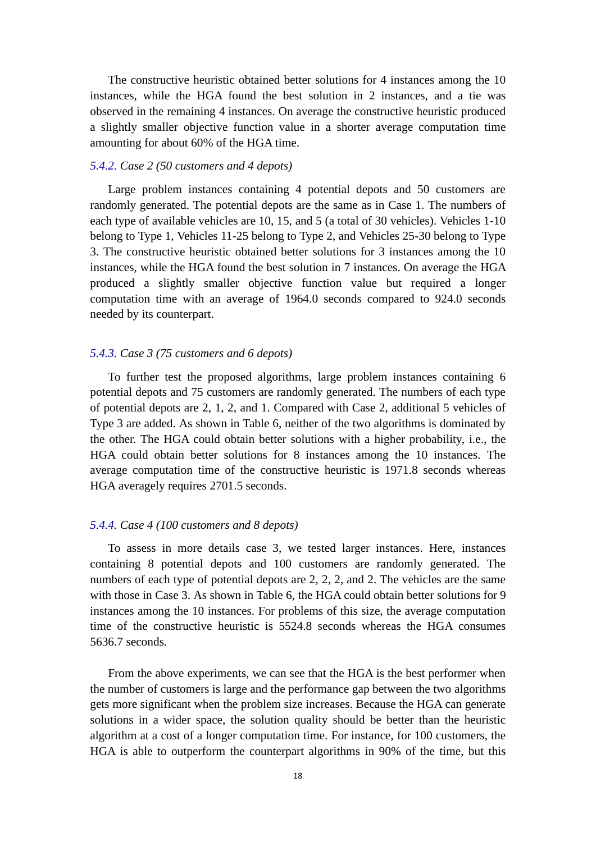The constructive heuristic obtained better solutions for 4 instances among the 10 instances, while the HGA found the best solution in 2 instances, and a tie was observed in the remaining 4 instances. On average the constructive heuristic produced a slightly smaller objective function value in a shorter average computation time amounting for about 60% of the HGA time.

#### *5.4.2. Case 2 (50 customers and 4 depots)*

Large problem instances containing 4 potential depots and 50 customers are randomly generated. The potential depots are the same as in Case 1. The numbers of each type of available vehicles are 10, 15, and 5 (a total of 30 vehicles). Vehicles 1-10 belong to Type 1, Vehicles 11-25 belong to Type 2, and Vehicles 25-30 belong to Type 3. The constructive heuristic obtained better solutions for 3 instances among the 10 instances, while the HGA found the best solution in 7 instances. On average the HGA produced a slightly smaller objective function value but required a longer computation time with an average of 1964.0 seconds compared to 924.0 seconds needed by its counterpart.

#### *5.4.3. Case 3 (75 customers and 6 depots)*

To further test the proposed algorithms, large problem instances containing 6 potential depots and 75 customers are randomly generated. The numbers of each type of potential depots are 2, 1, 2, and 1. Compared with Case 2, additional 5 vehicles of Type 3 are added. As shown in Table 6, neither of the two algorithms is dominated by the other. The HGA could obtain better solutions with a higher probability, i.e., the HGA could obtain better solutions for 8 instances among the 10 instances. The average computation time of the constructive heuristic is 1971.8 seconds whereas HGA averagely requires 2701.5 seconds.

#### *5.4.4. Case 4 (100 customers and 8 depots)*

To assess in more details case 3, we tested larger instances. Here, instances containing 8 potential depots and 100 customers are randomly generated. The numbers of each type of potential depots are 2, 2, 2, and 2. The vehicles are the same with those in Case 3. As shown in Table 6, the HGA could obtain better solutions for 9 instances among the 10 instances. For problems of this size, the average computation time of the constructive heuristic is 5524.8 seconds whereas the HGA consumes 5636.7 seconds.

From the above experiments, we can see that the HGA is the best performer when the number of customers is large and the performance gap between the two algorithms gets more significant when the problem size increases. Because the HGA can generate solutions in a wider space, the solution quality should be better than the heuristic algorithm at a cost of a longer computation time. For instance, for 100 customers, the HGA is able to outperform the counterpart algorithms in 90% of the time, but this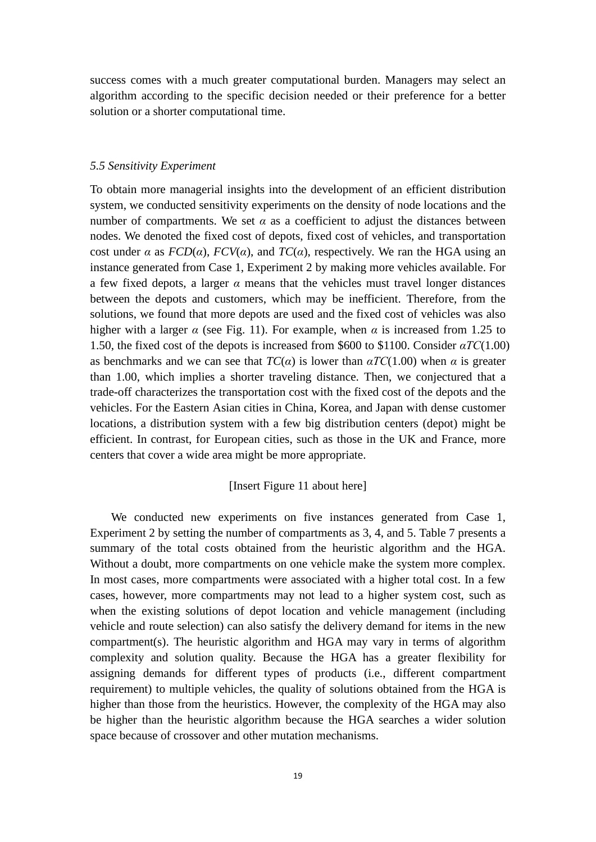success comes with a much greater computational burden. Managers may select an algorithm according to the specific decision needed or their preference for a better solution or a shorter computational time.

#### *5.5 Sensitivity Experiment*

To obtain more managerial insights into the development of an efficient distribution system, we conducted sensitivity experiments on the density of node locations and the number of compartments. We set  $\alpha$  as a coefficient to adjust the distances between nodes. We denoted the fixed cost of depots, fixed cost of vehicles, and transportation cost under  $\alpha$  as  $FCD(\alpha)$ ,  $FCV(\alpha)$ , and  $TC(\alpha)$ , respectively. We ran the HGA using an instance generated from Case 1, Experiment 2 by making more vehicles available. For a few fixed depots, a larger  $\alpha$  means that the vehicles must travel longer distances between the depots and customers, which may be inefficient. Therefore, from the solutions, we found that more depots are used and the fixed cost of vehicles was also higher with a larger  $\alpha$  (see Fig. 11). For example, when  $\alpha$  is increased from 1.25 to 1.50, the fixed cost of the depots is increased from \$600 to \$1100. Consider *αTC*(1.00) as benchmarks and we can see that  $TC(\alpha)$  is lower than  $\alpha TC(1.00)$  when  $\alpha$  is greater than 1.00, which implies a shorter traveling distance. Then, we conjectured that a trade-off characterizes the transportation cost with the fixed cost of the depots and the vehicles. For the Eastern Asian cities in China, Korea, and Japan with dense customer locations, a distribution system with a few big distribution centers (depot) might be efficient. In contrast, for European cities, such as those in the UK and France, more centers that cover a wide area might be more appropriate.

#### [Insert Figure 11 about here]

We conducted new experiments on five instances generated from Case 1, Experiment 2 by setting the number of compartments as 3, 4, and 5. Table 7 presents a summary of the total costs obtained from the heuristic algorithm and the HGA. Without a doubt, more compartments on one vehicle make the system more complex. In most cases, more compartments were associated with a higher total cost. In a few cases, however, more compartments may not lead to a higher system cost, such as when the existing solutions of depot location and vehicle management (including vehicle and route selection) can also satisfy the delivery demand for items in the new compartment(s). The heuristic algorithm and HGA may vary in terms of algorithm complexity and solution quality. Because the HGA has a greater flexibility for assigning demands for different types of products (i.e., different compartment requirement) to multiple vehicles, the quality of solutions obtained from the HGA is higher than those from the heuristics. However, the complexity of the HGA may also be higher than the heuristic algorithm because the HGA searches a wider solution space because of crossover and other mutation mechanisms.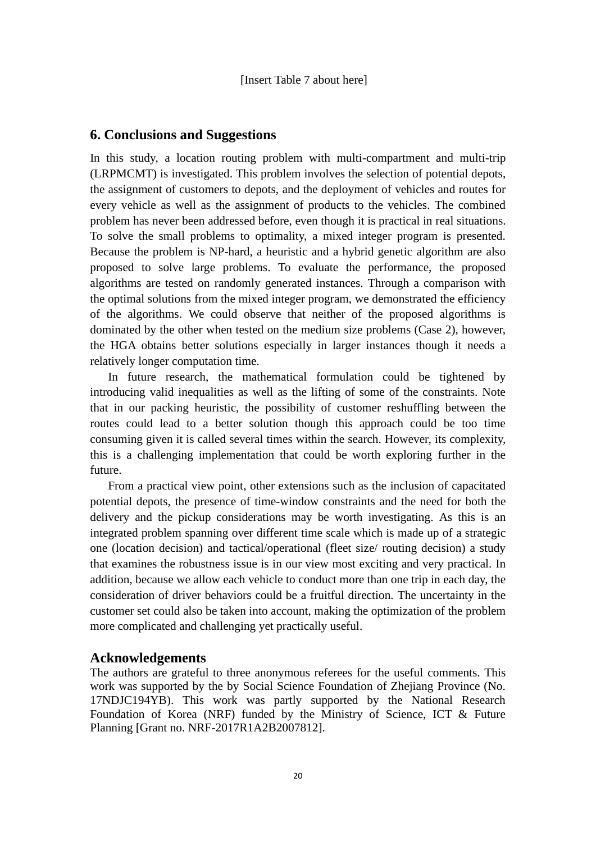#### **6. Conclusions and Suggestions**

In this study, a location routing problem with multi-compartment and multi-trip (LRPMCMT) is investigated. This problem involves the selection of potential depots, the assignment of customers to depots, and the deployment of vehicles and routes for every vehicle as well as the assignment of products to the vehicles. The combined problem has never been addressed before, even though it is practical in real situations. To solve the small problems to optimality, a mixed integer program is presented. Because the problem is NP-hard, a heuristic and a hybrid genetic algorithm are also proposed to solve large problems. To evaluate the performance, the proposed algorithms are tested on randomly generated instances. Through a comparison with the optimal solutions from the mixed integer program, we demonstrated the efficiency of the algorithms. We could observe that neither of the proposed algorithms is dominated by the other when tested on the medium size problems (Case 2), however, the HGA obtains better solutions especially in larger instances though it needs a relatively longer computation time.

In future research, the mathematical formulation could be tightened by introducing valid inequalities as well as the lifting of some of the constraints. Note that in our packing heuristic, the possibility of customer reshuffling between the routes could lead to a better solution though this approach could be too time consuming given it is called several times within the search. However, its complexity, this is a challenging implementation that could be worth exploring further in the future.

From a practical view point, other extensions such as the inclusion of capacitated potential depots, the presence of time-window constraints and the need for both the delivery and the pickup considerations may be worth investigating. As this is an integrated problem spanning over different time scale which is made up of a strategic one (location decision) and tactical/operational (fleet size/ routing decision) a study that examines the robustness issue is in our view most exciting and very practical. In addition, because we allow each vehicle to conduct more than one trip in each day, the consideration of driver behaviors could be a fruitful direction. The uncertainty in the customer set could also be taken into account, making the optimization of the problem more complicated and challenging yet practically useful.

#### **Acknowledgements**

The authors are grateful to three anonymous referees for the useful comments. This work was supported by the by Social Science Foundation of Zhejiang Province (No. 17NDJC194YB). This work was partly supported by the National Research Foundation of Korea (NRF) funded by the Ministry of Science, ICT & Future Planning [Grant no. NRF-2017R1A2B2007812].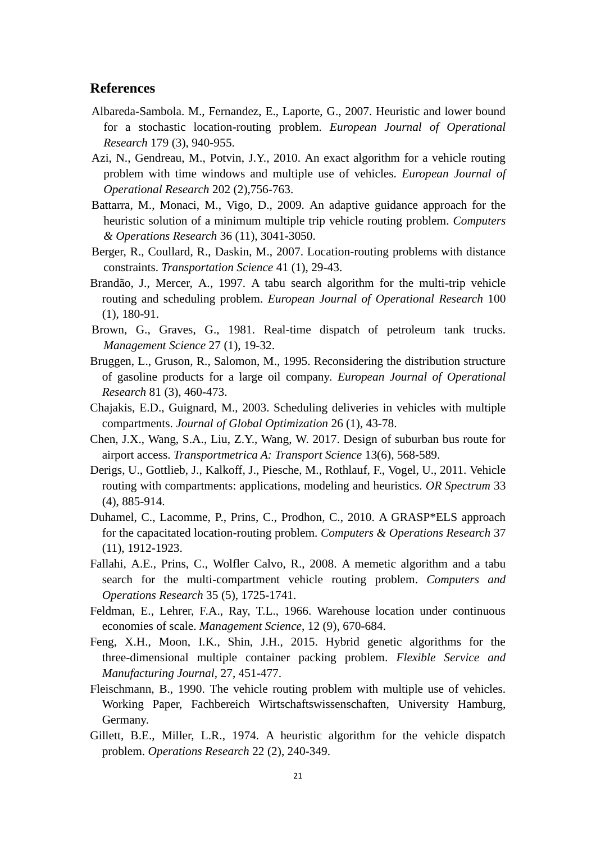#### **References**

- Albareda-Sambola. M., Fernandez, E., Laporte, G., 2007. Heuristic and lower bound for a stochastic location-routing problem. *European Journal of Operational Research* 179 (3), 940-955.
- Azi, N., Gendreau, M., Potvin, J.Y., 2010. An exact algorithm for a vehicle routing problem with time windows and multiple use of vehicles. *European Journal of Operational Research* 202 (2),756-763.
- Battarra, M., Monaci, M., Vigo, D., 2009. An adaptive guidance approach for the heuristic solution of a minimum multiple trip vehicle routing problem. *Computers & Operations Research* 36 (11), 3041-3050.
- Berger, R., Coullard, R., Daskin, M., 2007. Location-routing problems with distance constraints. *Transportation Science* 41 (1), 29-43.
- Brandão, J., Mercer, A., 1997. A tabu search algorithm for the multi-trip vehicle routing and scheduling problem. *European Journal of Operational Research* 100 (1), 180-91.
- Brown, G., Graves, G., 1981. Real-time dispatch of petroleum tank trucks. *Management Science* 27 (1), 19-32.
- Bruggen, L., Gruson, R., Salomon, M., 1995. Reconsidering the distribution structure of gasoline products for a large oil company. *European Journal of Operational Research* 81 (3), 460-473.
- Chajakis, E.D., Guignard, M., 2003. Scheduling deliveries in vehicles with multiple compartments. *Journal of Global Optimization* 26 (1), 43-78.
- Chen, J.X., Wang, S.A., Liu, Z.Y., Wang, W. 2017. Design of suburban bus route for airport access. *Transportmetrica A: Transport Science* 13(6), 568-589.
- Derigs, U., Gottlieb, J., Kalkoff, J., Piesche, M., Rothlauf, F., Vogel, U., 2011. Vehicle routing with compartments: applications, modeling and heuristics. *OR Spectrum* 33 (4), 885-914.
- Duhamel, C., Lacomme, P., Prins, C., Prodhon, C., 2010. A GRASP\*ELS approach for the capacitated location-routing problem. *Computers & Operations Research* 37 (11), 1912-1923.
- Fallahi, A.E., Prins, C., Wolfler Calvo, R., 2008. A memetic algorithm and a tabu search for the multi-compartment vehicle routing problem. *Computers and Operations Research* 35 (5), 1725-1741.
- Feldman, E., Lehrer, F.A., Ray, T.L., 1966. Warehouse location under continuous economies of scale. *Management Science*, 12 (9), 670-684.
- Feng, X.H., Moon, I.K., Shin, J.H., 2015. Hybrid genetic algorithms for the three-dimensional multiple container packing problem. *Flexible Service and Manufacturing Journal*, 27, 451-477.
- Fleischmann, B., 1990. The vehicle routing problem with multiple use of vehicles. Working Paper, Fachbereich Wirtschaftswissenschaften, University Hamburg, Germany.
- Gillett, B.E., Miller, L.R., 1974. A heuristic algorithm for the vehicle dispatch problem. *Operations Research* 22 (2), 240-349.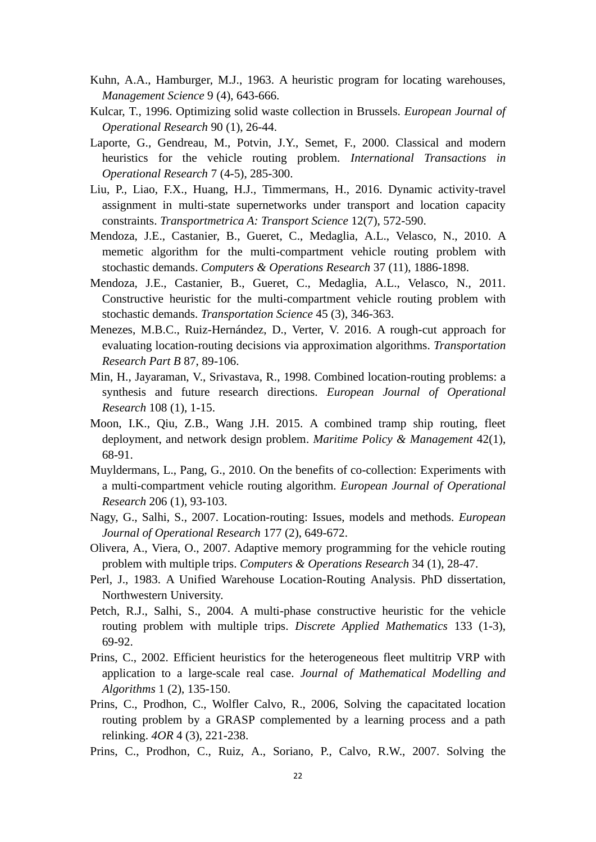- Kuhn, A.A., Hamburger, M.J., 1963. A heuristic program for locating warehouses, *Management Science* 9 (4), 643-666.
- Kulcar, T., 1996. Optimizing solid waste collection in Brussels. *European Journal of Operational Research* 90 (1), 26-44.
- Laporte, G., Gendreau, M., Potvin, J.Y., Semet, F., 2000. Classical and modern heuristics for the vehicle routing problem. *International Transactions in Operational Research* 7 (4-5), 285-300.
- Liu, P., Liao, F.X., Huang, H.J., Timmermans, H., 2016. Dynamic activity-travel assignment in multi-state supernetworks under transport and location capacity constraints. *Transportmetrica A: Transport Science* 12(7), 572-590.
- Mendoza, J.E., Castanier, B., Gueret, C., Medaglia, A.L., Velasco, N., 2010. A memetic algorithm for the multi-compartment vehicle routing problem with stochastic demands. *Computers & Operations Research* 37 (11), 1886-1898.
- Mendoza, J.E., Castanier, B., Gueret, C., Medaglia, A.L., Velasco, N., 2011. Constructive heuristic for the multi-compartment vehicle routing problem with stochastic demands. *Transportation Science* 45 (3), 346-363.
- Menezes, M.B.C., Ruiz-Hernández, D., Verter, V. 2016. A rough-cut approach for evaluating location-routing decisions via approximation algorithms. *Transportation Research Part B* 87, 89-106.
- Min, H., Jayaraman, V., Srivastava, R., 1998. Combined location-routing problems: a synthesis and future research directions. *European Journal of Operational Research* 108 (1), 1-15.
- Moon, I.K., Qiu, Z.B., Wang J.H. 2015. A combined tramp ship routing, fleet deployment, and network design problem. *Maritime Policy & Management* 42(1), 68-91.
- Muyldermans, L., Pang, G., 2010. On the benefits of co-collection: Experiments with a multi-compartment vehicle routing algorithm. *European Journal of Operational Research* 206 (1), 93-103.
- Nagy, G., Salhi, S., 2007. Location-routing: Issues, models and methods. *European Journal of Operational Research* 177 (2), 649-672.
- Olivera, A., Viera, O., 2007. Adaptive memory programming for the vehicle routing problem with multiple trips. *Computers & Operations Research* 34 (1), 28-47.
- Perl, J., 1983. A Unified Warehouse Location-Routing Analysis. PhD dissertation, Northwestern University.
- Petch, R.J., Salhi, S., 2004. A multi-phase constructive heuristic for the vehicle routing problem with multiple trips. *Discrete Applied Mathematics* 133 (1-3), 69-92.
- Prins, C., 2002. Efficient heuristics for the heterogeneous fleet multitrip VRP with application to a large-scale real case. *Journal of Mathematical Modelling and Algorithms* 1 (2), 135-150.
- Prins, C., Prodhon, C., Wolfler Calvo, R., 2006, Solving the capacitated location routing problem by a GRASP complemented by a learning process and a path relinking. *4OR* 4 (3), 221-238.
- Prins, C., Prodhon, C., Ruiz, A., Soriano, P., Calvo, R.W., 2007. Solving the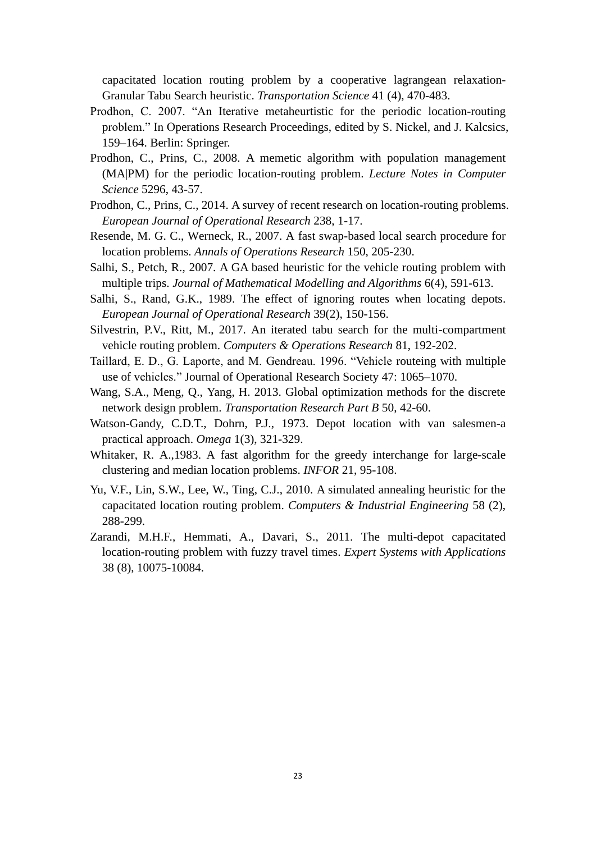capacitated location routing problem by a cooperative lagrangean relaxation-Granular Tabu Search heuristic. *Transportation Science* 41 (4), 470-483.

- Prodhon, C. 2007. "An Iterative metaheurtistic for the periodic location-routing problem." In Operations Research Proceedings, edited by S. Nickel, and J. Kalcsics, 159–164. Berlin: Springer.
- Prodhon, C., Prins, C., 2008. A memetic algorithm with population management (MA|PM) for the periodic location-routing problem. *Lecture Notes in Computer Science* 5296, 43-57.
- Prodhon, C., Prins, C., 2014. A survey of recent research on location-routing problems. *European Journal of Operational Research* [238,](http://dx.doi.org/10.1016/j.ejor.%202014.01.005) 1-17.
- Resende, M. G. C., Werneck, R., 2007. A fast swap-based local search procedure for location problems. *Annals of Operations Research* 150, 205-230.
- Salhi, S., Petch, R., 2007. [A GA based heuristic for the vehicle routing problem with](http://kar.kent.ac.uk/5297/)  [multiple trips.](http://kar.kent.ac.uk/5297/) *Journal of Mathematical Modelling and Algorithms* 6(4), 591-613.
- Salhi, S., Rand, G.K., 1989. The effect of ignoring routes when locating depots. *European Journal of Operational Research* 39(2), 150-156.
- Silvestrin, P.V., Ritt, M., 2017. An iterated tabu search for the multi-compartment vehicle routing problem. *Computers & Operations Research* 81, 192-202.
- Taillard, E. D., G. Laporte, and M. Gendreau. 1996. "Vehicle routeing with multiple use of vehicles." Journal of Operational Research Society 47: 1065–1070.
- Wang, S.A., Meng, Q., Yang, H. 2013. Global optimization methods for the discrete network design problem. *Transportation Research Part B* 50, 42-60.
- Watson-Gandy, C.D.T., Dohrn, P.J., 1973. Depot location with van salesmen-a practical approach. *Omega* 1(3), 321-329.
- Whitaker, R. A.,1983. A fast algorithm for the greedy interchange for large-scale clustering and median location problems. *INFOR* 21, 95-108.
- Yu, V.F., Lin, S.W., Lee, W., Ting, C.J., 2010. A simulated annealing heuristic for the capacitated location routing problem. *Computers & Industrial Engineering* 58 (2), 288-299.
- Zarandi, M.H.F., Hemmati, A., Davari, S., 2011. The multi-depot capacitated location-routing problem with fuzzy travel times. *Expert Systems with Applications* 38 (8), 10075-10084.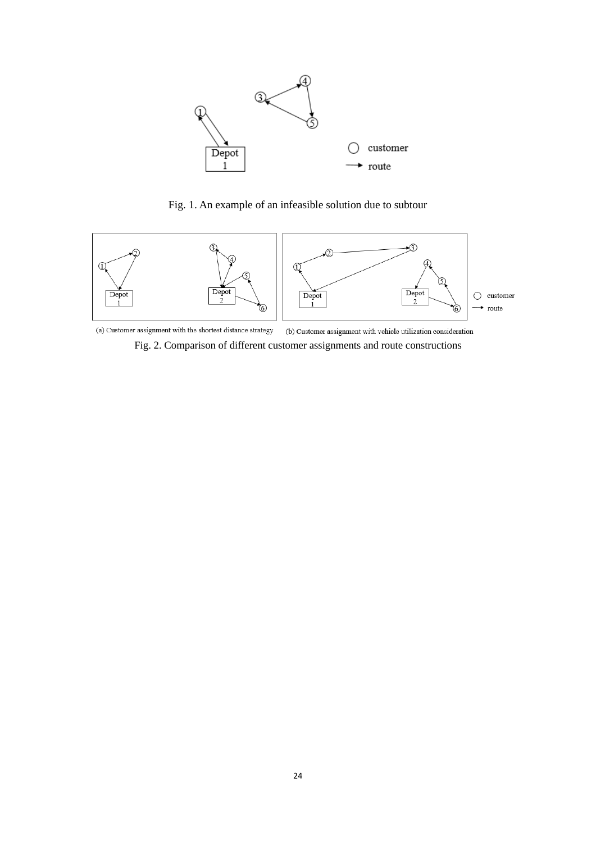

Fig. 1. An example of an infeasible solution due to subtour



Fig. 2. Comparison of different customer assignments and route constructions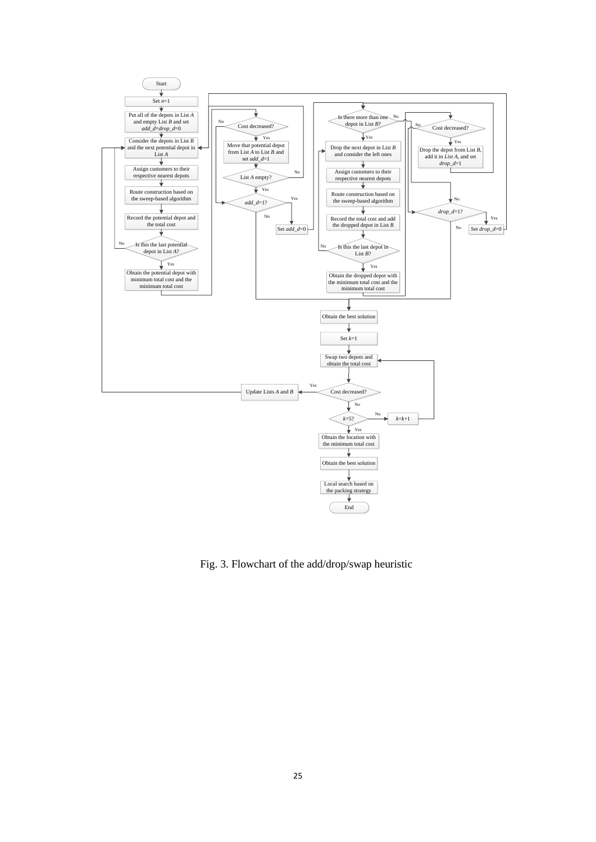

Fig. 3. Flowchart of the add/drop/swap heuristic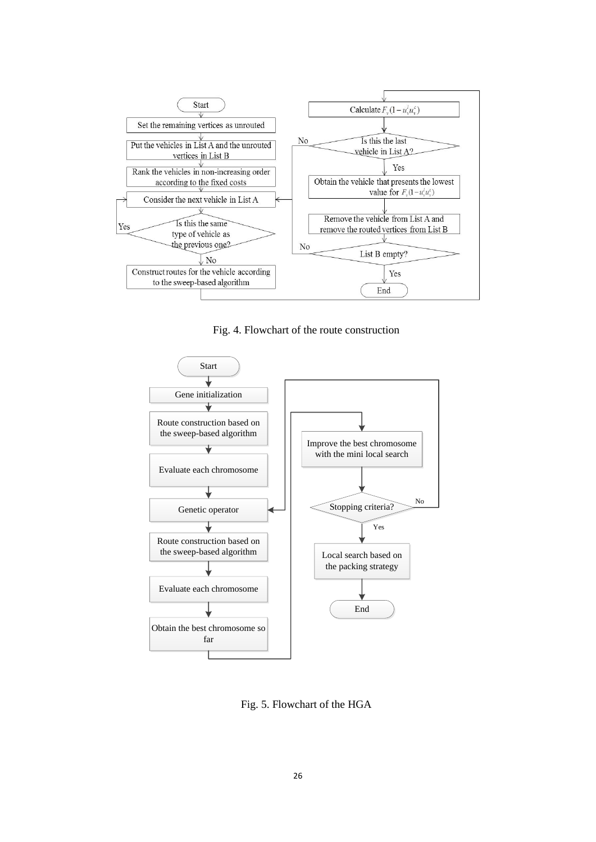

Fig. 4. Flowchart of the route construction



Fig. 5. Flowchart of the HGA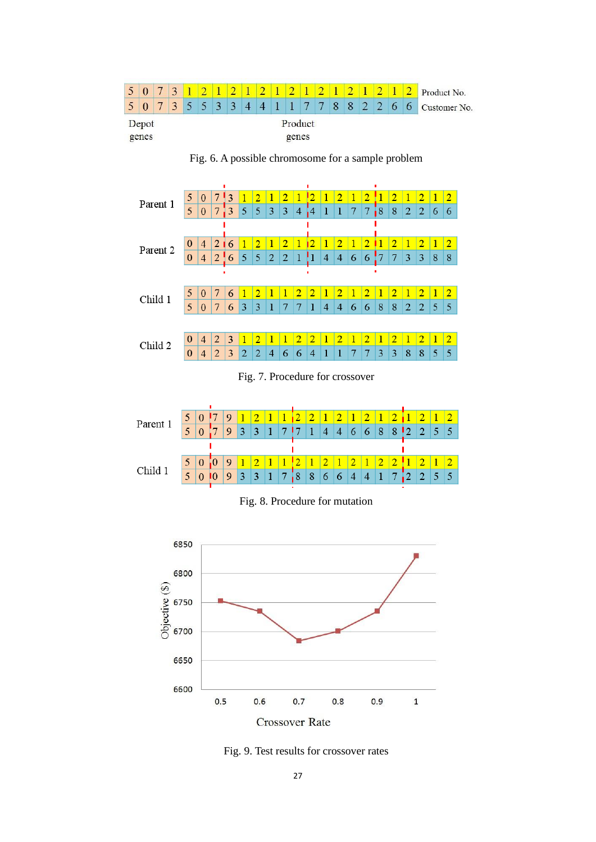

Fig. 6. A possible chromosome for a sample problem



Fig. 7. Procedure for crossover



Fig. 8. Procedure for mutation



Fig. 9. Test results for crossover rates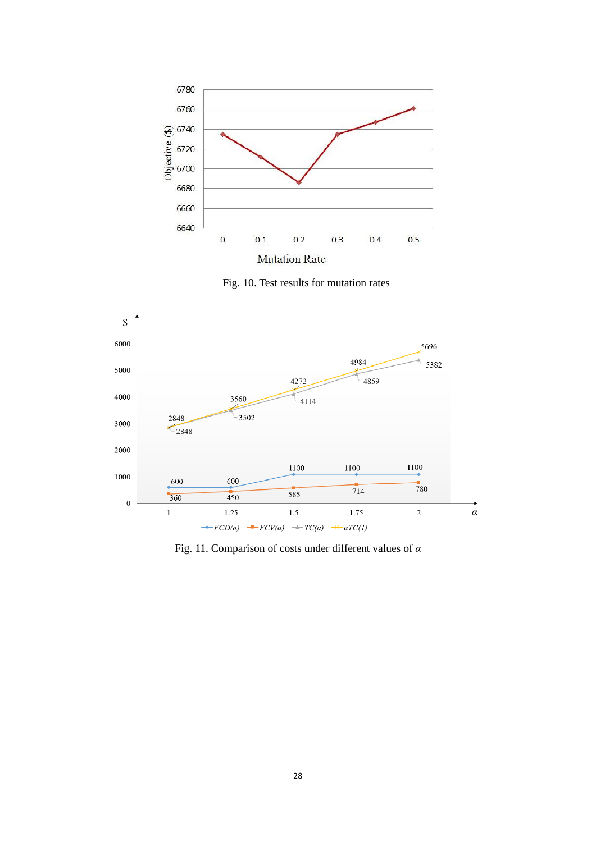

Fig. 10. Test results for mutation rates



Fig. 11. Comparison of costs under different values of *α*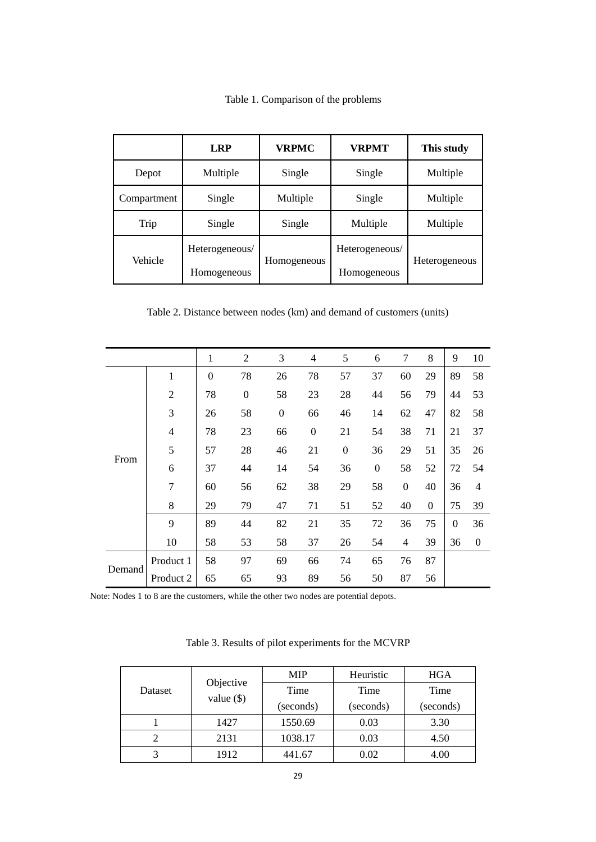Table 1. Comparison of the problems

|                       | <b>LRP</b>         | <b>VRPMC</b> | VRPMT          | This study    |  |
|-----------------------|--------------------|--------------|----------------|---------------|--|
| Depot                 | Multiple<br>Single |              | Single         | Multiple      |  |
| Single<br>Compartment |                    | Multiple     | Single         | Multiple      |  |
| Trip                  | Single             | Single       | Multiple       | Multiple      |  |
| Vehicle               | Heterogeneous/     |              | Heterogeneous/ |               |  |
|                       | Homogeneous        | Homogeneous  | Homogeneous    | Heterogeneous |  |

Table 2. Distance between nodes (km) and demand of customers (units)

|        |                      | 1                | $\overline{2}$   | 3                | $\overline{4}$   | 5                | 6            | 7                | 8            | 9                | 10               |
|--------|----------------------|------------------|------------------|------------------|------------------|------------------|--------------|------------------|--------------|------------------|------------------|
|        | $\mathbf{1}$         | $\boldsymbol{0}$ | 78               | 26               | 78               | 57               | 37           | 60               | 29           | 89               | 58               |
|        | $\overline{2}$       | 78               | $\boldsymbol{0}$ | 58               | 23               | 28               | 44           | 56               | 79           | 44               | 53               |
|        | 3                    | 26               | 58               | $\boldsymbol{0}$ | 66               | 46               | 14           | 62               | 47           | 82               | 58               |
|        | $\overline{4}$       | 78               | 23               | 66               | $\boldsymbol{0}$ | 21               | 54           | 38               | 71           | 21               | 37               |
| From   | 5                    | 57               | 28               | 46               | 21               | $\boldsymbol{0}$ | 36           | 29               | 51           | 35               | 26               |
|        | 6                    | 37               | 44               | 14               | 54               | 36               | $\mathbf{0}$ | 58               | 52           | 72               | 54               |
|        | $\overline{7}$       | 60               | 56               | 62               | 38               | 29               | 58           | $\boldsymbol{0}$ | 40           | 36               | $\overline{4}$   |
|        | $8\,$                | 29               | 79               | 47               | 71               | 51               | 52           | 40               | $\mathbf{0}$ | 75               | 39               |
|        | 9                    | 89               | 44               | 82               | 21               | 35               | 72           | 36               | 75           | $\boldsymbol{0}$ | 36               |
|        | 10                   | 58               | 53               | 58               | 37               | 26               | 54           | 4                | 39           | 36               | $\boldsymbol{0}$ |
|        | Product 1            | 58               | 97               | 69               | 66               | 74               | 65           | 76               | 87           |                  |                  |
| Demand | Product <sub>2</sub> | 65               | 65               | 93               | 89               | 56               | 50           | 87               | 56           |                  |                  |

Note: Nodes 1 to 8 are the customers, while the other two nodes are potential depots.

Table 3. Results of pilot experiments for the MCVRP

| Dataset |                           | <b>MIP</b> | Heuristic | <b>HGA</b> |
|---------|---------------------------|------------|-----------|------------|
|         | Objective<br>value $(\$)$ | Time       | Time      | Time       |
|         |                           | (seconds)  | (seconds) | (seconds)  |
|         | 1427                      | 1550.69    | 0.03      | 3.30       |
|         | 2131                      | 1038.17    | 0.03      | 4.50       |
|         | 1912                      | 441.67     | 0.02      | 4.00       |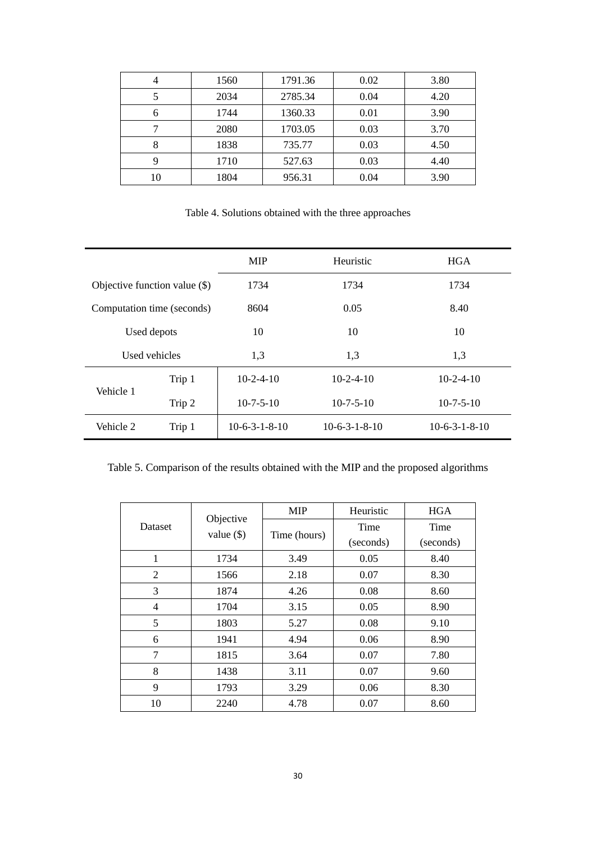|    | 1560 | 1791.36 | 0.02 | 3.80 |
|----|------|---------|------|------|
|    | 2034 | 2785.34 | 0.04 | 4.20 |
|    | 1744 | 1360.33 | 0.01 | 3.90 |
|    | 2080 | 1703.05 | 0.03 | 3.70 |
|    | 1838 | 735.77  | 0.03 | 4.50 |
| q  | 1710 | 527.63  | 0.03 | 4.40 |
| 10 | 1804 | 956.31  | 0.04 | 3.90 |

Table 4. Solutions obtained with the three approaches

|                                 |        | <b>MIP</b>        | Heuristic       | <b>HGA</b>        |
|---------------------------------|--------|-------------------|-----------------|-------------------|
| Objective function value $(\$)$ |        | 1734<br>1734      |                 | 1734              |
| Computation time (seconds)      |        | 0.05<br>8604      |                 | 8.40              |
| Used depots                     |        | 10<br>10          |                 | 10                |
| Used vehicles                   |        | 1,3<br>1,3        |                 | 1,3               |
|                                 | Trip 1 | $10-2-4-10$       | $10-2-4-10$     | $10 - 2 - 4 - 10$ |
| Vehicle 1                       | Trip 2 | $10 - 7 - 5 - 10$ | $10-7-5-10$     | $10 - 7 - 5 - 10$ |
| Vehicle 2                       | Trip 1 | $10-6-3-1-8-10$   | $10-6-3-1-8-10$ | $10-6-3-1-8-10$   |

Table 5. Comparison of the results obtained with the MIP and the proposed algorithms

|                |                           | <b>MIP</b>   | Heuristic | <b>HGA</b> |
|----------------|---------------------------|--------------|-----------|------------|
| <b>Dataset</b> | Objective<br>value $(\$)$ |              | Time      | Time       |
|                |                           | Time (hours) | (seconds) | (seconds)  |
| 1              | 1734                      | 3.49         | 0.05      | 8.40       |
| $\overline{2}$ | 1566                      | 2.18         | 0.07      | 8.30       |
| 3              | 1874                      | 4.26         | 0.08      | 8.60       |
| $\overline{4}$ | 1704                      | 3.15         | 0.05      | 8.90       |
| 5              | 1803                      | 5.27         | 0.08      | 9.10       |
| 6              | 1941                      | 4.94         | 0.06      | 8.90       |
| 7              | 1815                      | 3.64         | 0.07      | 7.80       |
| 8              | 1438                      | 3.11         | 0.07      | 9.60       |
| 9              | 1793                      | 3.29         | 0.06      | 8.30       |
| 10             | 2240                      | 4.78         | 0.07      | 8.60       |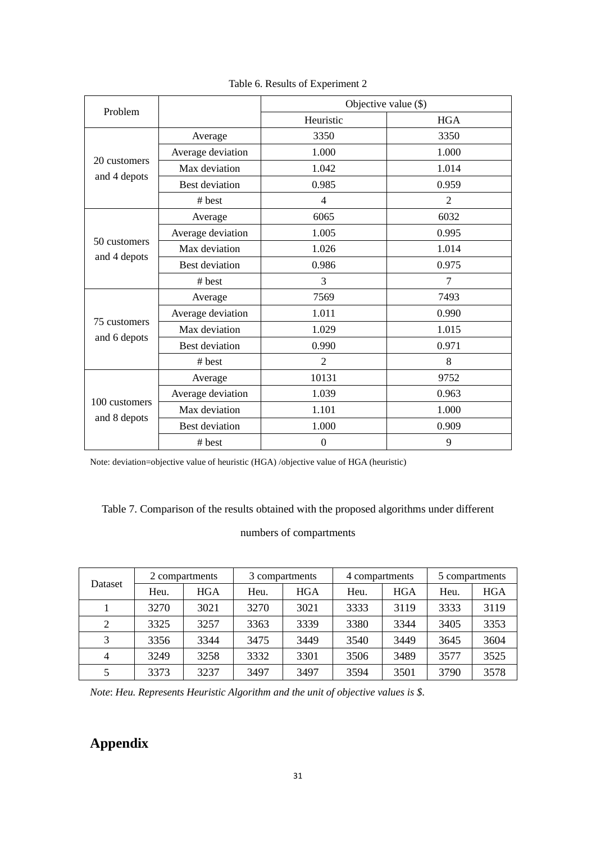|               |                       | Objective value $(\$)$ |            |
|---------------|-----------------------|------------------------|------------|
| Problem       |                       | Heuristic              | <b>HGA</b> |
|               | Average               | 3350                   | 3350       |
|               | Average deviation     | 1.000                  | 1.000      |
| 20 customers  | Max deviation         | 1.042                  | 1.014      |
| and 4 depots  | Best deviation        | 0.985                  | 0.959      |
|               | # best                | $\overline{4}$         | 2          |
|               | Average               | 6065                   | 6032       |
|               | Average deviation     | 1.005                  | 0.995      |
| 50 customers  | Max deviation         | 1.026                  | 1.014      |
| and 4 depots  | <b>Best deviation</b> | 0.986                  | 0.975      |
|               | # best                | 3                      | 7          |
|               | Average               | 7569                   | 7493       |
|               | Average deviation     | 1.011                  | 0.990      |
| 75 customers  | Max deviation         | 1.029                  | 1.015      |
| and 6 depots  | Best deviation        | 0.990                  | 0.971      |
|               | # best                | $\overline{2}$         | 8          |
|               | Average               | 10131                  | 9752       |
|               | Average deviation     | 1.039                  | 0.963      |
| 100 customers | Max deviation         | 1.101                  | 1.000      |
| and 8 depots  | Best deviation        | 1.000                  | 0.909      |
|               | # best                | $\boldsymbol{0}$       | 9          |

Table 6. Results of Experiment 2

Note: deviation=objective value of heuristic (HGA) /objective value of HGA (heuristic)

Table 7. Comparison of the results obtained with the proposed algorithms under different

numbers of compartments

| Dataset        | 2 compartments |            | 3 compartments |            | 4 compartments |            | 5 compartments |            |
|----------------|----------------|------------|----------------|------------|----------------|------------|----------------|------------|
|                | Heu.           | <b>HGA</b> | Heu.           | <b>HGA</b> | Heu.           | <b>HGA</b> | Heu.           | <b>HGA</b> |
|                | 3270           | 3021       | 3270           | 3021       | 3333           | 3119       | 3333           | 3119       |
| $\overline{2}$ | 3325           | 3257       | 3363           | 3339       | 3380           | 3344       | 3405           | 3353       |
| 3              | 3356           | 3344       | 3475           | 3449       | 3540           | 3449       | 3645           | 3604       |
| $\overline{4}$ | 3249           | 3258       | 3332           | 3301       | 3506           | 3489       | 3577           | 3525       |
|                | 3373           | 3237       | 3497           | 3497       | 3594           | 3501       | 3790           | 3578       |

*Note*: *Heu. Represents Heuristic Algorithm and the unit of objective values is \$*.

### **Appendix**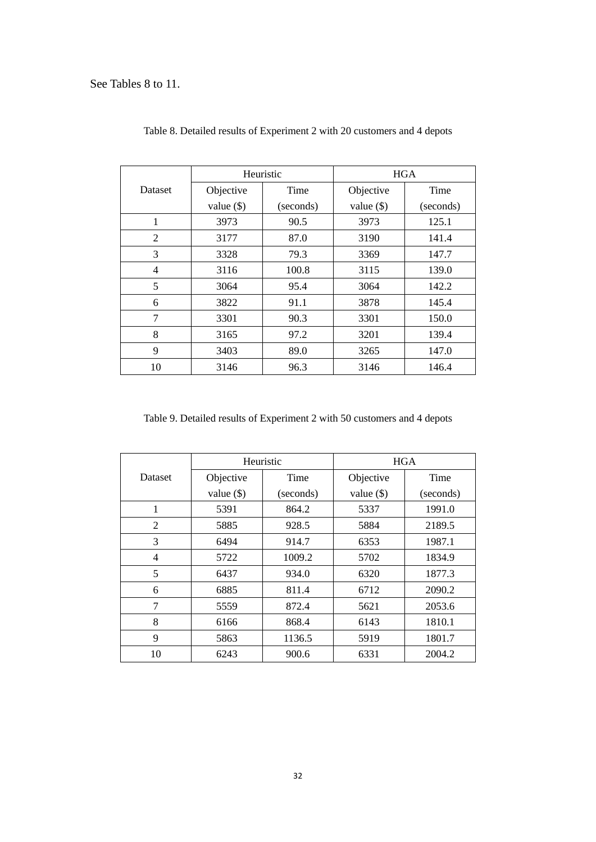#### See Tables 8 to 11.

|                |              | Heuristic | <b>HGA</b>   |           |  |
|----------------|--------------|-----------|--------------|-----------|--|
| <b>Dataset</b> | Objective    | Time      |              | Time      |  |
|                | value $(\$)$ | (seconds) | value $(\$)$ | (seconds) |  |
| 1              | 3973         | 90.5      | 3973         | 125.1     |  |
| $\overline{2}$ | 3177         | 87.0      | 3190         | 141.4     |  |
| 3              | 3328         | 79.3      | 3369         | 147.7     |  |
| 4              | 3116         | 100.8     | 3115         | 139.0     |  |
| 5              | 3064         | 95.4      | 3064         | 142.2     |  |
| 6              | 3822         | 91.1      | 3878         | 145.4     |  |
| $\overline{7}$ | 3301         | 90.3      | 3301         | 150.0     |  |
| 8              | 3165         | 97.2      | 3201         | 139.4     |  |
| 9              | 3403         | 89.0      | 3265         | 147.0     |  |
| 10             | 3146         | 96.3      | 3146         | 146.4     |  |

#### Table 8. Detailed results of Experiment 2 with 20 customers and 4 depots

Table 9. Detailed results of Experiment 2 with 50 customers and 4 depots

|                |              | Heuristic | <b>HGA</b>   |           |  |
|----------------|--------------|-----------|--------------|-----------|--|
| <b>Dataset</b> | Objective    | Time      | Objective    | Time      |  |
|                | value $(\$)$ | (seconds) | value $(\$)$ | (seconds) |  |
| 1              | 5391         | 864.2     | 5337         | 1991.0    |  |
| 2              | 5885         | 928.5     | 5884         | 2189.5    |  |
| 3              | 6494         | 914.7     | 6353         | 1987.1    |  |
| 4              | 5722         | 1009.2    | 5702         | 1834.9    |  |
| 5              | 6437         | 934.0     | 6320         | 1877.3    |  |
| 6              | 6885         | 811.4     | 6712         | 2090.2    |  |
| 7              | 5559         | 872.4     | 5621         | 2053.6    |  |
| 8              | 6166         | 868.4     | 6143         | 1810.1    |  |
| 9              | 5863         | 1136.5    | 5919         | 1801.7    |  |
| 10             | 6243         | 900.6     | 6331         | 2004.2    |  |